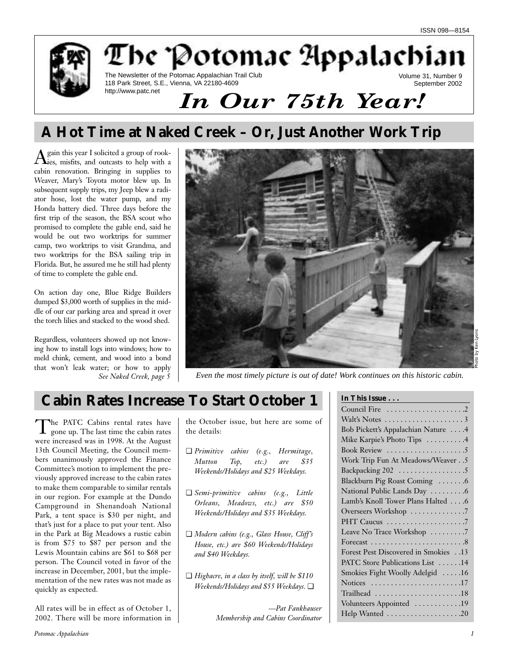

# **A Hot Time at Naked Creek – Or, Just Another Work Trip**

Again this year I solicited a group of rook-ies, misfits, and outcasts to help with a cabin renovation. Bringing in supplies to Weaver, Mary's Toyota motor blew up. In subsequent supply trips, my Jeep blew a radiator hose, lost the water pump, and my Honda battery died. Three days before the first trip of the season, the BSA scout who promised to complete the gable end, said he would be out two worktrips for summer camp, two worktrips to visit Grandma, and two worktrips for the BSA sailing trip in Florida. But, he assured me he still had plenty of time to complete the gable end.

On action day one, Blue Ridge Builders dumped \$3,000 worth of supplies in the middle of our car parking area and spread it over the torch lilies and stacked to the wood shed.

Regardless, volunteers showed up not knowing how to install logs into windows; how to meld chink, cement, and wood into a bond that won't leak water; or how to apply *See Naked Creek, page 5*



*Even the most timely picture is out of date! Work continues on this historic cabin.* 

# **Cabin Rates Increase To Start October 1**

The PATC Cabins rental rates have gone up. The last time the cabin rates were increased was in 1998. At the August 13th Council Meeting, the Council members unanimously approved the Finance Committee's motion to implement the previously approved increase to the cabin rates to make them comparable to similar rentals in our region. For example at the Dundo Campground in Shenandoah National Park, a tent space is \$30 per night, and that's just for a place to put your tent. Also in the Park at Big Meadows a rustic cabin is from \$75 to \$87 per person and the Lewis Mountain cabins are \$61 to \$68 per person. The Council voted in favor of the increase in December, 2001, but the implementation of the new rates was not made as quickly as expected.

All rates will be in effect as of October 1, 2002. There will be more information in

the October issue, but here are some of the details:

- ❏ *Primitive cabins (e.g., Hermitage, Mutton Top, etc.) are \$35 Weekends/Holidays and \$25 Weekdays.*
- ❏ *Semi-primitive cabins (e.g., Little Orleans, Meadows, etc.) are \$50 Weekends/Holidays and \$35 Weekdays.*
- ❏ *Modern cabins (e.g., Glass House, Cliff's House, etc.) are \$60 Weekends/Holidays and \$40 Weekdays.*
- ❏ *Highacre, in a class by itself, will be \$110 Weekends/Holidays and \$55 Weekdays.* ❏

*—Pat Fankhauser Membership and Cabins Coordinator*

## **In This Issue . . .**

| Bob Pickett's Appalachian Nature 4  |
|-------------------------------------|
| Mike Karpie's Photo Tips 4          |
| Book Review 5                       |
| Work Trip Fun At Meadows/Weaver 5   |
| Backpacking 202 5                   |
| Blackburn Pig Roast Coming 6        |
| National Public Lands Day  6        |
| Lamb's Knoll Tower Plans Halted 6   |
| Overseers Workshop 7                |
| PHT Caucus 7                        |
| Leave No Trace Workshop 7           |
|                                     |
| Forest Pest Discovered in Smokies13 |
| PATC Store Publications List 14     |
| Smokies Fight Woolly Adelgid 16     |
| Notices 17                          |
| Trailhead 18                        |
| Volunteers Appointed 19             |
| Help Wanted 20                      |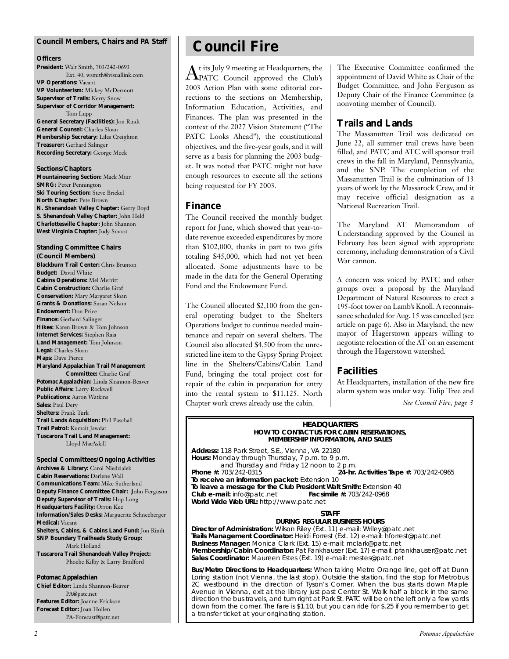## **Council Members, Chairs and** *PA* **Staff**

#### **Officers**

**President:** Walt Smith, 703/242-0693 Ext. 40, wsmith@visuallink.com **VP Operations:** Vacant **VP Volunteerism:** Mickey McDermott **Supervisor of Trails:** Kerry Snow **Supervisor of Corridor Management:** Tom Lupp **General Secretary (Facilities):** Jon Rindt **General Counsel:** Charles Sloan **Membership Secretary:** Liles Creighton **Treasurer:** Gerhard Salinger **Recording Secretary:** George Meek

#### **Sections/Chapters**

**Mountaineering Section:** Mack Muir **SMRG: Peter Pennington Ski Touring Section:** Steve Brickel **North Chapter:** Pete Brown **N. Shenandoah Valley Chapter:** Gerry Boyd **S. Shenandoah Valley Chapter:** John Held **Charlottesville Chapter:** John Shannon **West Virginia Chapter:** Judy Smoot

## **Standing Committee Chairs**

**(Council Members) Blackburn Trail Center:** Chris Brunton **Budget:** David White **Cabins Operations:** Mel Merritt **Cabin Construction:** Charlie Graf **Conservation:** Mary Margaret Sloan **Grants & Donations:** Susan Nelson **Endowment:** Don Price **Finance:** Gerhard Salinger **Hikes:** Karen Brown & Tom Johnson **Internet Services:** Stephen Raia **Land Management:** Tom Johnson **Legal:** Charles Sloan **Maps:** Dave Pierce **Maryland Appalachian Trail Management Committee:** Charlie Graf *Potomac Appalachian:* Linda Shannon-Beaver **Public Affairs:** Larry Rockwell **Publications:** Aaron Watkins **Sales:** Paul Dery

**Shelters:** Frank Turk **Trail Lands Acquisition:** Phil Paschall **Trail Patrol:** Kumait Jawdat **Tuscarora Trail Land Management:** Lloyd MacAskill

**Special Committees/Ongoing Activities Archives & Library:** Carol Niedzialek **Cabin Reservations:** Darlene Wall **Communications Team:** Mike Sutherland **Deputy Finance Committee Chair: J**ohn Ferguson **Deputy Supervisor of Trails:** Hop Long **Headquarters Facility:** Orron Kee **Information/Sales Desks:** Marguerite Schneeberger **Medical:** Vacant **Shelters, Cabins, & Cabins Land Fund:** Jon Rindt **SNP Boundary Trailheads Study Group:** Mark Holland **Tuscarora Trail Shenandoah Valley Project:** Phoebe Kilby & Larry Bradford

#### *Potomac Appalachian*

**Chief Editor:** Linda Shannon-Beaver PA@patc.net **Features Editor:** Joanne Erickson **Forecast Editor:** Joan Hollen PA-Forecast@patc.net

# **Council Fire**

 ${\rm A}$ t its July 9 meeting at Headquarters, the  ${\rm C}$ DATC $\,$  Council  $\,$  approved  $\,$  the  $\,$ Club's 2003 Action Plan with some editorial corrections to the sections on Membership, Information Education, Activities, and Finances. The plan was presented in the context of the 2027 Vision Statement ("The PATC Looks Ahead"), the constitutional objectives, and the five-year goals, and it will serve as a basis for planning the 2003 budget. It was noted that PATC might not have enough resources to execute all the actions being requested for FY 2003.

## **Finance**

The Council received the monthly budget report for June, which showed that year-todate revenue exceeded expenditures by more than \$102,000, thanks in part to two gifts totaling \$45,000, which had not yet been allocated. Some adjustments have to be made in the data for the General Operating Fund and the Endowment Fund.

The Council allocated \$2,100 from the general operating budget to the Shelters Operations budget to continue needed maintenance and repair on several shelters. The Council also allocated \$4,500 from the unrestricted line item to the Gypsy Spring Project line in the Shelters/Cabins/Cabin Land Fund, bringing the total project cost for repair of the cabin in preparation for entry into the rental system to \$11,125. North Chapter work crews already use the cabin.

The Executive Committee confirmed the appointment of David White as Chair of the Budget Committee, and John Ferguson as Deputy Chair of the Finance Committee (a nonvoting member of Council).

## **Trails and Lands**

The Massanutten Trail was dedicated on June 22, all summer trail crews have been filled, and PATC and ATC will sponsor trail crews in the fall in Maryland, Pennsylvania, and the SNP. The completion of the Massanutten Trail is the culmination of 13 years of work by the Massarock Crew, and it may receive official designation as a National Recreation Trail.

The Maryland AT Memorandum of Understanding approved by the Council in February has been signed with appropriate ceremony, including demonstration of a Civil War cannon.

A concern was voiced by PATC and other groups over a proposal by the Maryland Department of Natural Resources to erect a 195-foot tower on Lamb's Knoll. A reconnaissance scheduled for Aug. 15 was cancelled (see article on page 6). Also in Maryland, the new mayor of Hagerstown appears willing to negotiate relocation of the AT on an easement through the Hagerstown watershed.

## **Facilities**

At Headquarters, installation of the new fire alarm system was under way. Tulip Tree and

*See Council Fire, page 3*

#### **HEADQUARTERS HOW TO CONTACT US FOR CABIN RESERVATIONS, MEMBERSHIP INFORMATION, AND SALES**

**Address:** 118 Park Street, S.E., Vienna, VA 22180 **Hours:** Monday through Thursday, 7 p.m. to 9 p.m. and Thursday and Friday 12 noon to 2 p.m.<br>**24-hr.** 703/242-0315 **Phone #:** 703/242-0315 **24-hr. Activities Tape #:** 703/242-0965 **To receive an information packet:** Extension 10 **To leave a message for the Club President Walt Smith:** Extension 40<br>**Club e-mail:** info@patc.net **Facsimile #:** 703/242-0968 **Club e-mail: info@patc.net World Wide Web URL:** http://www.patc.net

### **STAFF**

## **DURING REGULAR BUSINESS HOURS**

**Director of Administration:** Wilson Riley (Ext. 11) e-mail: Wriley@patc.net **Trails Management Coordinator:** Heidi Forrest (Ext. 12) e-mail: hforrest@patc.net **Business Manager:** Monica Clark (Ext. 15) e-mail: mclark@patc.net **Membership/Cabin Coordinator:** Pat Fankhauser (Ext. 17) e-mail: pfankhauser@patc.net **Sales Coordinator:** Maureen Estes (Ext. 19) e-mail: mestes@patc.net

**Bus/Metro Directions to Headquarters:** When taking Metro Orange line, get off at Dunn Loring station (not Vienna, the last stop). Outside the station, find the stop for Metrobus 2C westbound in the direction of Tyson's Corner. When the bus starts down Maple Avenue in Vienna, exit at the library just past Center St. Walk half a block in the same direction the bus travels, and turn right at Park St. PATC will be on the left only a few yards down from the corner. The fare is \$1.10, but you can ride for \$.25 if you remember to get a transfer ticket at your originating station.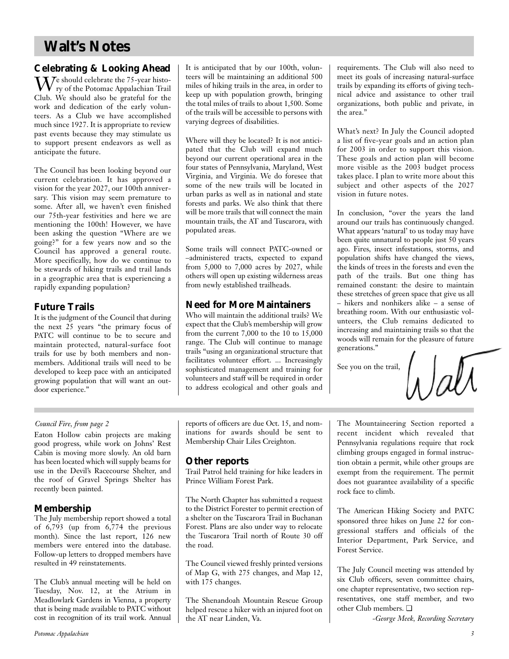# **Walt's Notes**

## **Celebrating & Looking Ahead**

 $\mathbf{W}^\text{e}$ should celebrate the 75-year histo-<br>ry of the Potomac Appalachian Trail Club. We should also be grateful for the work and dedication of the early volunteers. As a Club we have accomplished much since 1927. It is appropriate to review past events because they may stimulate us to support present endeavors as well as anticipate the future.

The Council has been looking beyond our current celebration. It has approved a vision for the year 2027, our 100th anniversary. This vision may seem premature to some. After all, we haven't even finished our 75th-year festivities and here we are mentioning the 100th! However, we have been asking the question "Where are we going?" for a few years now and so the Council has approved a general route. More specifically, how do we continue to be stewards of hiking trails and trail lands in a geographic area that is experiencing a rapidly expanding population?

## **Future Trails**

It is the judgment of the Council that during the next 25 years "the primary focus of PATC will continue to be to secure and maintain protected, natural-surface foot trails for use by both members and nonmembers. Additional trails will need to be developed to keep pace with an anticipated growing population that will want an outdoor experience."

It is anticipated that by our 100th, volunteers will be maintaining an additional 500 miles of hiking trails in the area, in order to keep up with population growth, bringing the total miles of trails to about 1,500. Some of the trails will be accessible to persons with varying degrees of disabilities.

Where will they be located? It is not anticipated that the Club will expand much beyond our current operational area in the four states of Pennsylvania, Maryland, West Virginia, and Virginia. We do foresee that some of the new trails will be located in urban parks as well as in national and state forests and parks. We also think that there will be more trails that will connect the main mountain trails, the AT and Tuscarora, with populated areas.

Some trails will connect PATC-owned or –administered tracts, expected to expand from 5,000 to 7,000 acres by 2027, while others will open up existing wilderness areas from newly established trailheads.

## **Need for More Maintainers**

Who will maintain the additional trails? We expect that the Club's membership will grow from the current 7,000 to the 10 to 15,000 range. The Club will continue to manage trails "using an organizational structure that facilitates volunteer effort. ... Increasingly sophisticated management and training for volunteers and staff will be required in order to address ecological and other goals and requirements. The Club will also need to meet its goals of increasing natural-surface trails by expanding its efforts of giving technical advice and assistance to other trail organizations, both public and private, in the area."

What's next? In July the Council adopted a list of five-year goals and an action plan for 2003 in order to support this vision. These goals and action plan will become more visible as the 2003 budget process takes place. I plan to write more about this subject and other aspects of the 2027 vision in future notes.

In conclusion, "over the years the land around our trails has continuously changed. What appears 'natural' to us today may have been quite unnatural to people just 50 years ago. Fires, insect infestations, storms, and population shifts have changed the views, the kinds of trees in the forests and even the path of the trails. But one thing has remained constant: the desire to maintain these stretches of green space that give us all – hikers and nonhikers alike – a sense of breathing room. With our enthusiastic volunteers, the Club remains dedicated to increasing and maintaining trails so that the woods will remain for the pleasure of future generations."

See you on the trail,

## *Council Fire, from page 2*

Eaton Hollow cabin projects are making good progress, while work on Johns' Rest Cabin is moving more slowly. An old barn has been located which will supply beams for use in the Devil's Racecourse Shelter, and the roof of Gravel Springs Shelter has recently been painted.

## **Membership**

The July membership report showed a total of 6,793 (up from 6,774 the previous month). Since the last report, 126 new members were entered into the database. Follow-up letters to dropped members have resulted in 49 reinstatements.

The Club's annual meeting will be held on Tuesday, Nov. 12, at the Atrium in Meadlowlark Gardens in Vienna, a property that is being made available to PATC without cost in recognition of its trail work. Annual reports of officers are due Oct. 15, and nominations for awards should be sent to Membership Chair Liles Creighton.

## **Other reports**

Trail Patrol held training for hike leaders in Prince William Forest Park.

The North Chapter has submitted a request to the District Forester to permit erection of a shelter on the Tuscarora Trail in Buchanan Forest. Plans are also under way to relocate the Tuscarora Trail north of Route 30 off the road.

The Council viewed freshly printed versions of Map G, with 275 changes, and Map 12, with 175 changes.

The Shenandoah Mountain Rescue Group helped rescue a hiker with an injured foot on the AT near Linden, Va.

The Mountaineering Section reported a recent incident which revealed that Pennsylvania regulations require that rock climbing groups engaged in formal instruction obtain a permit, while other groups are exempt from the requirement. The permit does not guarantee availability of a specific rock face to climb.

The American Hiking Society and PATC sponsored three hikes on June 22 for congressional staffers and officials of the Interior Department, Park Service, and Forest Service.

The July Council meeting was attended by six Club officers, seven committee chairs, one chapter representative, two section representatives, one staff member, and two other Club members. ❏

*-George Meek, Recording Secretary*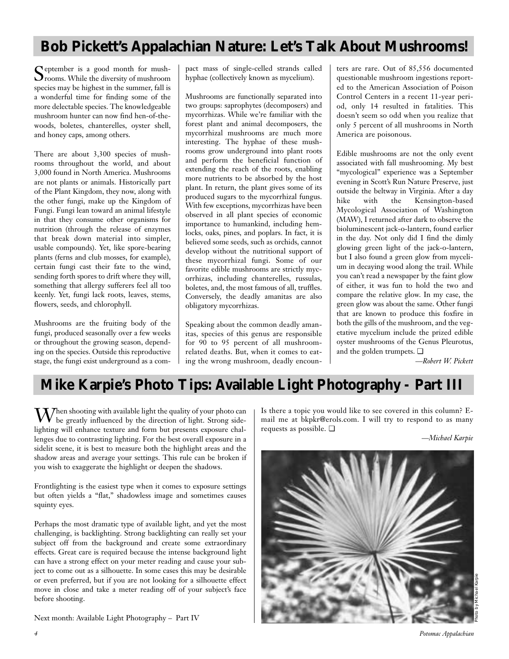# **Bob Pickett's Appalachian Nature: Let's Talk About Mushrooms!**

September is a good month for mush-<br>
Srooms. While the diversity of mushroom species may be highest in the summer, fall is a wonderful time for finding some of the more delectable species. The knowledgeable mushroom hunter can now find hen-of-thewoods, boletes, chanterelles, oyster shell, and honey caps, among others.

There are about 3,300 species of mushrooms throughout the world, and about 3,000 found in North America. Mushrooms are not plants or animals. Historically part of the Plant Kingdom, they now, along with the other fungi, make up the Kingdom of Fungi. Fungi lean toward an animal lifestyle in that they consume other organisms for nutrition (through the release of enzymes that break down material into simpler, usable compounds). Yet, like spore-bearing plants (ferns and club mosses, for example), certain fungi cast their fate to the wind, sending forth spores to drift where they will, something that allergy sufferers feel all too keenly. Yet, fungi lack roots, leaves, stems, flowers, seeds, and chlorophyll.

Mushrooms are the fruiting body of the fungi, produced seasonally over a few weeks or throughout the growing season, depending on the species. Outside this reproductive stage, the fungi exist underground as a compact mass of single-celled strands called hyphae (collectively known as mycelium).

Mushrooms are functionally separated into two groups: saprophytes (decomposers) and mycorrhizas. While we're familiar with the forest plant and animal decomposers, the mycorrhizal mushrooms are much more interesting. The hyphae of these mushrooms grow underground into plant roots and perform the beneficial function of extending the reach of the roots, enabling more nutrients to be absorbed by the host plant. In return, the plant gives some of its produced sugars to the mycorrhizal fungus. With few exceptions, mycorrhizas have been observed in all plant species of economic importance to humankind, including hemlocks, oaks, pines, and poplars. In fact, it is believed some seeds, such as orchids, cannot develop without the nutritional support of these mycorrhizal fungi. Some of our favorite edible mushrooms are strictly mycorrhizas, including chanterelles, russulas, boletes, and, the most famous of all, truffles. Conversely, the deadly amanitas are also obligatory mycorrhizas.

Speaking about the common deadly amanitas, species of this genus are responsible for 90 to 95 percent of all mushroomrelated deaths. But, when it comes to eating the wrong mushroom, deadly encoun-

ters are rare. Out of 85,556 documented questionable mushroom ingestions reported to the American Association of Poison Control Centers in a recent 11-year period, only 14 resulted in fatalities. This doesn't seem so odd when you realize that only 5 percent of all mushrooms in North America are poisonous.

Edible mushrooms are not the only event associated with fall mushrooming. My best "mycological" experience was a September evening in Scott's Run Nature Preserve, just outside the beltway in Virginia. After a day hike with the Kensington-based Mycological Association of Washington (MAW), I returned after dark to observe the bioluminescent jack-o-lantern, found earlier in the day. Not only did I find the dimly glowing green light of the jack-o-lantern, but I also found a green glow from mycelium in decaying wood along the trail. While you can't read a newspaper by the faint glow of either, it was fun to hold the two and compare the relative glow. In my case, the green glow was about the same. Other fungi that are known to produce this foxfire in both the gills of the mushroom, and the vegetative mycelium include the prized edible oyster mushrooms of the Genus Pleurotus, and the golden trumpets. ❏

*—Robert W. Pickett*

# **Mike Karpie's Photo Tips: Available Light Photography - Part III**

 $\mathbf{W}$ hen shooting with available light the quality of your photo can be greatly influenced by the direction of light. Strong sidelighting will enhance texture and form but presents exposure challenges due to contrasting lighting. For the best overall exposure in a sidelit scene, it is best to measure both the highlight areas and the shadow areas and average your settings. This rule can be broken if you wish to exaggerate the highlight or deepen the shadows.

Frontlighting is the easiest type when it comes to exposure settings but often yields a "flat," shadowless image and sometimes causes squinty eyes.

Perhaps the most dramatic type of available light, and yet the most challenging, is backlighting. Strong backlighting can really set your subject off from the background and create some extraordinary effects. Great care is required because the intense background light can have a strong effect on your meter reading and cause your subject to come out as a silhouette. In some cases this may be desirable or even preferred, but if you are not looking for a silhouette effect move in close and take a meter reading off of your subject's face before shooting.

Next month: Available Light Photography – Part IV

Is there a topic you would like to see covered in this column? Email me at bkpkr@erols.com. I will try to respond to as many requests as possible. ❏

*—Michael Karpie*

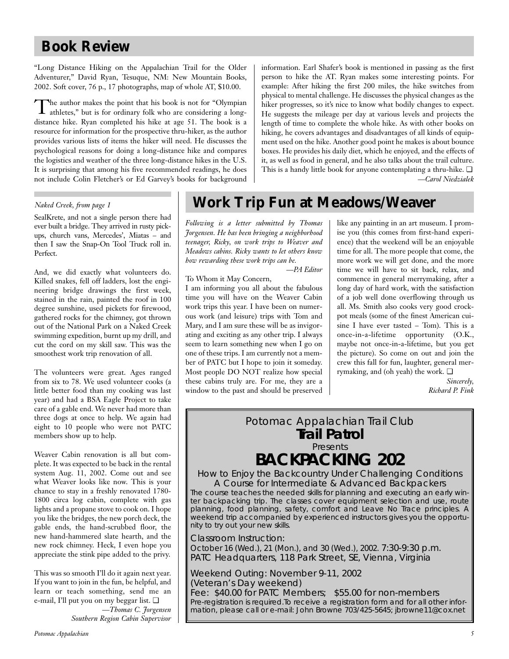# **Book Review**

"Long Distance Hiking on the Appalachian Trail for the Older Adventurer," David Ryan, Tesuque, NM: New Mountain Books, 2002. Soft cover, 76 p., 17 photographs, map of whole AT, \$10.00.

The author makes the point that his book is not for "Olympian athletes," but is for ordinary folk who are considering a longdistance hike. Ryan completed his hike at age 51. The book is a resource for information for the prospective thru-hiker, as the author provides various lists of items the hiker will need. He discusses the psychological reasons for doing a long-distance hike and compares the logistics and weather of the three long-distance hikes in the U.S. It is surprising that among his five recommended readings, he does not include Colin Fletcher's or Ed Garvey's books for background information. Earl Shafer's book is mentioned in passing as the first person to hike the AT. Ryan makes some interesting points. For example: After hiking the first 200 miles, the hike switches from physical to mental challenge. He discusses the physical changes as the hiker progresses, so it's nice to know what bodily changes to expect. He suggests the mileage per day at various levels and projects the length of time to complete the whole hike. As with other books on hiking, he covers advantages and disadvantages of all kinds of equipment used on the hike. Another good point he makes is about bounce boxes. He provides his daily diet, which he enjoyed, and the effects of it, as well as food in general, and he also talks about the trail culture. This is a handy little book for anyone contemplating a thru-hike. ❏ *—Carol Niedzialek*

SealKrete, and not a single person there had ever built a bridge. They arrived in rusty pickups, church vans, Mercedes', Miatas – and then I saw the Snap-On Tool Truck roll in. Perfect.

And, we did exactly what volunteers do. Killed snakes, fell off ladders, lost the engineering bridge drawings the first week, stained in the rain, painted the roof in 100 degree sunshine, used pickets for firewood, gathered rocks for the chimney, got thrown out of the National Park on a Naked Creek swimming expedition, burnt up my drill, and cut the cord on my skill saw. This was the smoothest work trip renovation of all.

The volunteers were great. Ages ranged from six to 78. We used volunteer cooks (a little better food than my cooking was last year) and had a BSA Eagle Project to take care of a gable end. We never had more than three dogs at once to help. We again had eight to 10 people who were not PATC members show up to help.

Weaver Cabin renovation is all but complete. It was expected to be back in the rental system Aug. 11, 2002. Come out and see what Weaver looks like now. This is your chance to stay in a freshly renovated 1780- 1800 circa log cabin, complete with gas lights and a propane stove to cook on. I hope you like the bridges, the new porch deck, the gable ends, the hand-scrubbed floor, the new hand-hammered slate hearth, and the new rock chimney. Heck, I even hope you appreciate the stink pipe added to the privy.

This was so smooth I'll do it again next year. If you want to join in the fun, be helpful, and learn or teach something, send me an e-mail, I'll put you on my beggar list. ❏

*—Thomas C. Jorgensen Southern Region Cabin Supervisor*

# *Naked Creek, from page 1* **Work Trip Fun at Meadows/Weaver**

*Following is a letter submitted by Thomas Jorgensen. He has been bringing a neighborhood teenager, Ricky, on work trips to Weaver and Meadows cabins. Ricky wants to let others know how rewarding these work trips can be.* 

*—PA Editor*

## To Whom it May Concern,

I am informing you all about the fabulous time you will have on the Weaver Cabin work trips this year. I have been on numerous work (and leisure) trips with Tom and Mary, and I am sure these will be as invigorating and exciting as any other trip. I always seem to learn something new when I go on one of these trips. I am currently not a member of PATC but I hope to join it someday. Most people DO NOT realize how special these cabins truly are. For me, they are a window to the past and should be preserved like any painting in an art museum. I promise you (this comes from first-hand experience) that the weekend will be an enjoyable time for all. The more people that come, the more work we will get done, and the more time we will have to sit back, relax, and commence in general merrymaking, after a long day of hard work, with the satisfaction of a job well done overflowing through us all. Ms. Smith also cooks very good crockpot meals (some of the finest American cuisine I have ever tasted – Tom). This is a once-in-a-lifetime opportunity (O.K., maybe not once-in-a-lifetime, but you get the picture). So come on out and join the crew this fall for fun, laughter, general merrymaking, and (oh yeah) the work. ❏

> *Sincerely, Richard P. Fink*

# Potomac Appalachian Trail Club **Trail Patrol** Presents **BACKPACKING 202**

*How to Enjoy the Backcountry Under Challenging Conditions A Course for Intermediate & Advanced Backpackers*

The course teaches the needed skills for planning and executing an early winter backpacking trip. The classes cover equipment selection and use, route planning, food planning, safety, comfort and Leave No Trace principles. A weekend trip accompanied by experienced instructors gives you the opportunity to try out your new skills.

Classroom Instruction: October 16 (Wed.), 21 (Mon.), and 30 (Wed.), 2002. 7:30-9:30 p.m. PATC Headquarters, 118 Park Street, SE, Vienna, Virginia

Weekend Outing: November 9-11, 2002 (Veteran's Day weekend) Fee: \$40.00 for PATC Members; \$55.00 for non-members Pre-registration is required.To receive a registration form and for all other information, please call or e-mail: John Browne 703/425-5645; jbrowne11@cox.net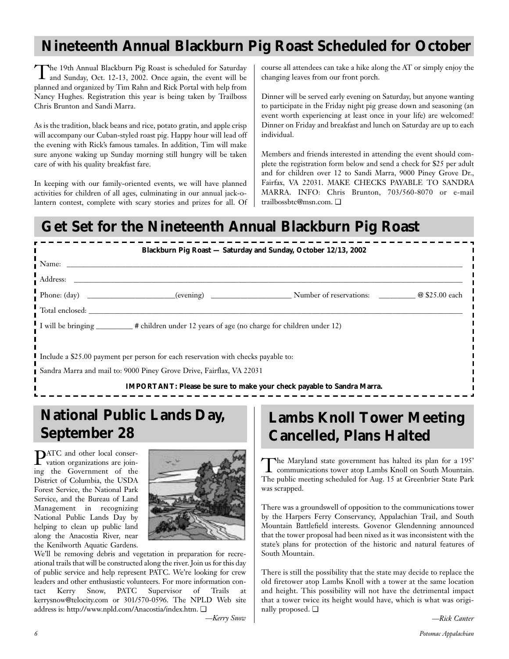# **Nineteenth Annual Blackburn Pig Roast Scheduled for October**

The 19th Annual Blackburn Pig Roast is scheduled for Saturday and Sunday, Oct. 12-13, 2002. Once again, the event will be planned and organized by Tim Rahn and Rick Portal with help from Nancy Hughes. Registration this year is being taken by Trailboss Chris Brunton and Sandi Marra.

As is the tradition, black beans and rice, potato gratin, and apple crisp will accompany our Cuban-styled roast pig. Happy hour will lead off the evening with Rick's famous tamales. In addition, Tim will make sure anyone waking up Sunday morning still hungry will be taken care of with his quality breakfast fare.

In keeping with our family-oriented events, we will have planned activities for children of all ages, culminating in our annual jack-olantern contest, complete with scary stories and prizes for all. Of course all attendees can take a hike along the AT or simply enjoy the changing leaves from our front porch.

Dinner will be served early evening on Saturday, but anyone wanting to participate in the Friday night pig grease down and seasoning (an event worth experiencing at least once in your life) are welcomed! Dinner on Friday and breakfast and lunch on Saturday are up to each individual.

Members and friends interested in attending the event should complete the registration form below and send a check for \$25 per adult and for children over 12 to Sandi Marra, 9000 Piney Grove Dr., Fairfax, VA 22031. MAKE CHECKS PAYABLE TO SANDRA MARRA. INFO: Chris Brunton, 703/560-8070 or e-mail trailbossbtc@msn.com. ❏

# **Get Set for the Nineteenth Annual Blackburn Pig Roast**

|                                                                                                     |                                                                      | Blackburn Pig Roast - Saturday and Sunday, October 12/13, 2002 |  |  |
|-----------------------------------------------------------------------------------------------------|----------------------------------------------------------------------|----------------------------------------------------------------|--|--|
| Name:                                                                                               |                                                                      |                                                                |  |  |
| Address:                                                                                            |                                                                      |                                                                |  |  |
| Phone: $(\text{day})$                                                                               | (evening)                                                            | Number of reservations: @\\ \ \ \ \$25.00 each                 |  |  |
| Total enclosed:                                                                                     |                                                                      |                                                                |  |  |
| I will be bringing $\frac{1}{2}$ # children under 12 years of age (no charge for children under 12) |                                                                      |                                                                |  |  |
|                                                                                                     |                                                                      |                                                                |  |  |
| I Include a \$25.00 payment per person for each reservation with checks payable to:                 |                                                                      |                                                                |  |  |
|                                                                                                     | Sandra Marra and mail to: 9000 Piney Grove Drive, Fairflax, VA 22031 |                                                                |  |  |
| IMPORTANT: Please be sure to make your check payable to Sandra Marra.                               |                                                                      |                                                                |  |  |

# **National Public Lands Day, September 28**

PATC and other local conser-vation organizations are joining the Government of the District of Columbia, the USDA Forest Service, the National Park Service, and the Bureau of Land Management in recognizing National Public Lands Day by helping to clean up public land along the Anacostia River, near the Kenilworth Aquatic Gardens.



We'll be removing debris and vegetation in preparation for recreational trails that will be constructed along the river. Join us for this day of public service and help represent PATC. We're looking for crew leaders and other enthusiastic volunteers. For more information contact Kerry Snow, PATC Supervisor of Trails at kerrysnow@telocity.com or 301/570-0596. The NPLD Web site address is: http://www.npld.com/Anacostia/index.htm. ❏

*—Kerry Snow*

# **Lambs Knoll Tower Meeting Cancelled, Plans Halted**

The Maryland state government has halted its plan for a 195'<br>communications tower atop Lambs Knoll on South Mountain. The public meeting scheduled for Aug. 15 at Greenbrier State Park was scrapped.

There was a groundswell of opposition to the communications tower by the Harpers Ferry Conservancy, Appalachian Trail, and South Mountain Battlefield interests. Govenor Glendenning announced that the tower proposal had been nixed as it was inconsistent with the state's plans for protection of the historic and natural features of South Mountain.

There is still the possibility that the state may decide to replace the old firetower atop Lambs Knoll with a tower at the same location and height. This possibility will not have the detrimental impact that a tower twice its height would have, which is what was originally proposed. ❏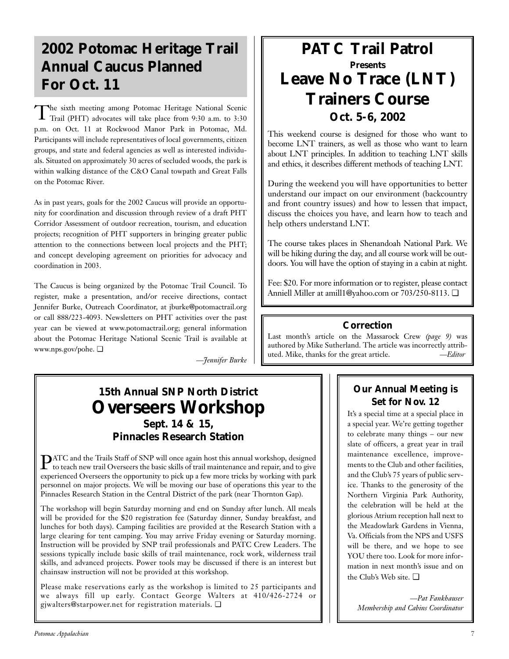# **2002 Potomac Heritage Trail Annual Caucus Planned For Oct. 11**

The sixth meeting among Potomac Heritage National Scenic Trail (PHT) advocates will take place from 9:30 a.m. to 3:30 p.m. on Oct. 11 at Rockwood Manor Park in Potomac, Md. Participants will include representatives of local governments, citizen groups, and state and federal agencies as well as interested individuals. Situated on approximately 30 acres of secluded woods, the park is within walking distance of the C&O Canal towpath and Great Falls on the Potomac River.

As in past years, goals for the 2002 Caucus will provide an opportunity for coordination and discussion through review of a draft PHT Corridor Assessment of outdoor recreation, tourism, and education projects; recognition of PHT supporters in bringing greater public attention to the connections between local projects and the PHT; and concept developing agreement on priorities for advocacy and coordination in 2003.

The Caucus is being organized by the Potomac Trail Council. To register, make a presentation, and/or receive directions, contact Jennifer Burke, Outreach Coordinator, at jburke@potomactrail.org or call 888/223-4093. Newsletters on PHT activities over the past year can be viewed at www.potomactrail.org; general information about the Potomac Heritage National Scenic Trail is available at www.nps.gov/pohe. ❏

*—Jennifer Burke*

# **15th Annual SNP North District Overseers Workshop Sept. 14 & 15, Pinnacles Research Station**

PATC and the Trails Staff of SNP will once again host this annual workshop, designed to teach new trail Overseers the basic skills of trail maintenance and repair, and to give experienced Overseers the opportunity to pick up a few more tricks by working with park personnel on major projects. We will be moving our base of operations this year to the Pinnacles Research Station in the Central District of the park (near Thornton Gap).

The workshop will begin Saturday morning and end on Sunday after lunch. All meals will be provided for the \$20 registration fee (Saturday dinner, Sunday breakfast, and lunches for both days). Camping facilities are provided at the Research Station with a large clearing for tent camping. You may arrive Friday evening or Saturday morning. Instruction will be provided by SNP trail professionals and PATC Crew Leaders. The sessions typically include basic skills of trail maintenance, rock work, wilderness trail skills, and advanced projects. Power tools may be discussed if there is an interest but chainsaw instruction will not be provided at this workshop.

Please make reservations early as the workshop is limited to 25 participants and we always fill up early. Contact George Walters at 410/426-2724 or gjwalters@starpower.net for registration materials. ❏

# **PATC Trail Patrol Presents Leave No Trace (LNT) Trainers Course Oct. 5-6, 2002**

This weekend course is designed for those who want to become LNT trainers, as well as those who want to learn about LNT principles. In addition to teaching LNT skills and ethics, it describes different methods of teaching LNT.

During the weekend you will have opportunities to better understand our impact on our environment (backcountry and front country issues) and how to lessen that impact, discuss the choices you have, and learn how to teach and help others understand LNT.

The course takes places in Shenandoah National Park. We will be hiking during the day, and all course work will be outdoors. You will have the option of staying in a cabin at night.

Fee: \$20. For more information or to register, please contact Anniell Miller at amill1@yahoo.com or 703/250-8113. ❏

## **Correction**

Last month's article on the Massarock Crew *(page 9)* was authored by Mike Sutherland. The article was incorrectly attributed. Mike, thanks for the great article. *—Editor*

# **Our Annual Meeting is Set for Nov. 12**

It's a special time at a special place in a special year. We're getting together to celebrate many things – our new slate of officers, a great year in trail maintenance excellence, improvements to the Club and other facilities, and the Club's 75 years of public service. Thanks to the generosity of the Northern Virginia Park Authority, the celebration will be held at the glorious Atrium reception hall next to the Meadowlark Gardens in Vienna, Va. Officials from the NPS and USFS will be there, and we hope to see YOU there too. Look for more information in next month's issue and on the Club's Web site. ❏

*—Pat Fankhauser Membership and Cabins Coordinator*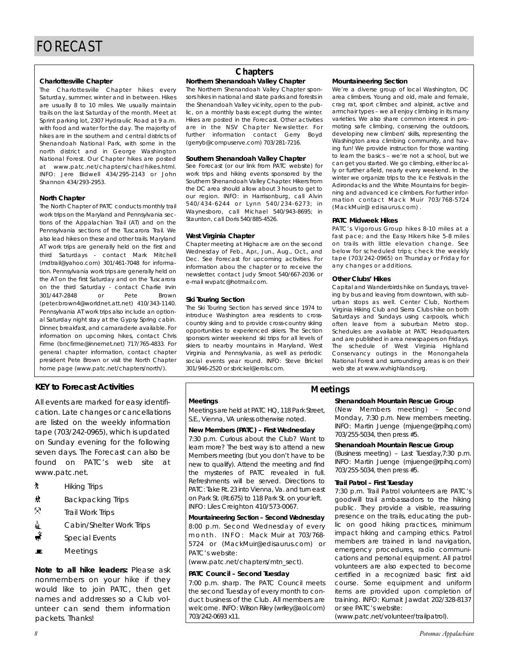## **Charlottesville Chapter**

The Charlottesville Chapter hikes every Saturday, summer, winter and in between. Hikes are usually 8 to 10 miles. We usually maintain trails on the last Saturday of the month. Meet at Sprint parking lot, 2307 Hydraulic Road at 9 a.m. with food and water for the day. The majority of hikes are in the southern and central districts of Shenandoah National Park, with some in the north district and in George Washington National Forest. Our Chapter hikes are posted at www.patc.net/chapters/char/hikes.html. INFO: Jere Bidwell 434/295-2143 or John Shannon 434/293-2953.

## **North Chapter**

The North Chapter of PATC conducts monthly trail work trips on the Maryland and Pennsylvania sections of the Appalachian Trail (AT) and on the Pennsylvania sections of the Tuscarora Trail. We also lead hikes on these and other trails. Maryland AT work trips are generally held on the first and third Saturdays - contact Mark Mitchell (mdtrail@yahoo.com) 301/461-7048 for information. Pennsylvania work trips are generally held on the AT on the first Saturday and on the Tuscarora on the third Saturday - contact Charlie Irvin 301/447-2848 or Pete Brown (peter.brown4@worldnet.att.net) 410/343-1140. Pennsylvania AT work trips also include an optional Saturday night stay at the Gypsy Spring cabin. Dinner, breakfast, and camaraderie available. For information on upcoming hikes, contact Chris Firme (bncfirme@innernet.net) 717/765-4833. For general chapter information, contact chapter president Pete Brown or visit the North Chapter home page (www.patc.net/chapters/north/).

## **KEY to Forecast Activities**

All events are marked for easy identification. Late changes or cancellations are listed on the weekly information tape (703/242-0965), which is updated on Sunday evening for the following seven days. The Forecast can also be found on PATC's web site at www.patc.net.

- **A** Hiking Trips
- <u> $\frac{1}{2}$ </u> **Backpacking Trips**
- $\mathcal{R}$  Trail Work Trips
- **△** Cabin/Shelter Work Trips
- Special Events
- $\blacksquare$  Meetings

*Note to all hike leaders:* Please ask nonmembers on your hike if they would like to join PATC, then get names and addresses so a Club volunteer can send them information packets. Thanks!

## **Chapters**

## **Northern Shenandoah Valley Chapter**

The Northern Shenandoah Valley Chapter sponsors hikes in national and state parks and forests in the Shenandoah Valley vicinity, open to the public, on a monthly basis except during the winter. Hikes are posted in the Forecast. Other activities are in the NSV Chapter Newsletter. For further information contact Gerry Boyd (gerryb@compuserve.com) 703/281-7216.

## **Southern Shenandoah Valley Chapter**

See Forecast (or our link from PATC website) for work trips and hiking events sponsored by the Southern Shenandoah Valley Chapter. Hikers from the DC area should allow about 3 hours to get to our region. INFO: in Harrisonburg, call Alvin 540/434-6244 or Lynn 540/234-6273; in Waynesboro, call Michael 540/943-8695; in Staunton, call Doris 540/885-4526.

## **West Virginia Chapter**

Chapter meeting at Highacre are on the second Wednesday of Feb., Apr., Jun., Aug., Oct., and Dec. See Forecast for upcoming activities. For information abou the chapter or to receive the newsletter, contact Judy Smoot 540/667-2036 or e-mail wvpatc@hotmail.com.

### **Ski Touring Section**

The Ski Touring Section has served since 1974 to introduce Washington area residents to crosscountry skiing and to provide cross-country skiing opportunities to experienced skiers. The Section sponsors winter weekend ski trips for all levels of skiers to nearby mountains in Maryland, West Virginia and Pennsylvania, as well as periodic social events year round. INFO: Steve Brickel 301/946-2520 or sbrickel@erols.com.

### **Mountaineering Section**

We're a diverse group of local Washington, DC area climbers. Young and old, male and female, crag rat, sport climber, and alpinist, active and armchair types – we all enjoy climbing in its many varieties. We also share common interest in promoting safe climbing, conserving the outdoors, developing new climbers' skills, representing the Washington area climbing community, and having fun! We provide instruction for those wanting to learn the basics – we're not a school, but we can get you started. We go climbing, either locally or further afield, nearly every weekend. In the winter we organize trips to the Ice Festivals in the Adirondacks and the White Mountains for beginning and advanced ice climbers. For further information contact Mack Muir 703/768-5724 (MackMuir@ edisaurus.com) .

### **PATC Midweek Hikes**

PATC's Vigorous Group hikes 8-10 miles at a fast pace; and the Easy Hikers hike 5-8 miles on trails with little elevation change. See below for scheduled trips; check the weekly tape (703/242-0965) on Thursday or Friday for any changes or additions.

### **Other Clubs' Hikes**

Capital and Wanderbirds hike on Sundays, traveling by bus and leaving from downtown, with suburban stops as well. Center Club, Northern Virginia Hiking Club and Sierra Clubs hike on both Saturdays and Sundays using carpools, which often leave from a suburban Metro stop. Schedules are available at PATC Headquarters and are published in area newspapers on Fridays. The schedule of West Virginia Highland Conservancy outings in the Monongahela National Forest and surrounding areas is on their web site at www.wvhighlands.org.

## **Meetings**

Meetings are held at PATC HQ, 118 Park Street, S.E., Vienna, VA unless otherwise noted.

## **New Members (PATC) – First Wednesday**

7:30 p.m. Curious about the Club? Want to learn more? The best way is to attend a new Members meeting (but you don't have to be new to qualify). Attend the meeting and find the mysteries of PATC revealed in full. Refreshments will be served. Directions to PATC: Take Rt. 23 into Vienna, Va. and turn east on Park St. (Rt.675) to 118 Park St. on your left. INFO: Liles Creighton 410/573-0067.

**Mountaineering Section – Second Wednesday** 8:00 p.m. Second Wednesday of every month. INFO: Mack Muir at 703/768- 5724 or (MackMuir@edisaurus.com) or PATC's website:

(www.patc.net/chapters/mtn\_sect).

### **PATC Council – Second Tuesday**

7:00 p.m. sharp. The PATC Council meets the second Tuesday of every month to conduct business of the Club. All members are welcome. INFO: Wilson Riley (wriley@aol.com) 703/242-0693 x11.

## **Meetings**

## **Shenandoah Mountain Rescue Group**

(New Members meeting) – Second Monday, 7:30 p.m. New members meeting. INFO: Martin Juenge (mjuenge@rpihq.com) 703/255-5034, then press #5.

### **Shenandoah Mountain Rescue Group**

(Business meeting) – Last Tuesday,7:30 p.m. INFO: Martin Juenge (mjuenge@rpihq.com) 703/255-5034, then press #5.

### **Trail Patrol – First Tuesday**

7:30 p.m. Trail Patrol volunteers are PATC's goodwill trail ambassadors to the hiking public. They provide a visible, reassuring presence on the trails, educating the public on good hiking practices, minimum impact hiking and camping ethics. Patrol members are trained in land navigation, emergency procedures, radio communications and personal equipment. All patrol volunteers are also expected to become certified in a recognized basic first aid course. Some equipment and uniform items are provided upon completion of training. INFO: Kumait Jawdat 202/328-8137 or see PATC's website:

(www.patc.net/volunteer/trailpatrol).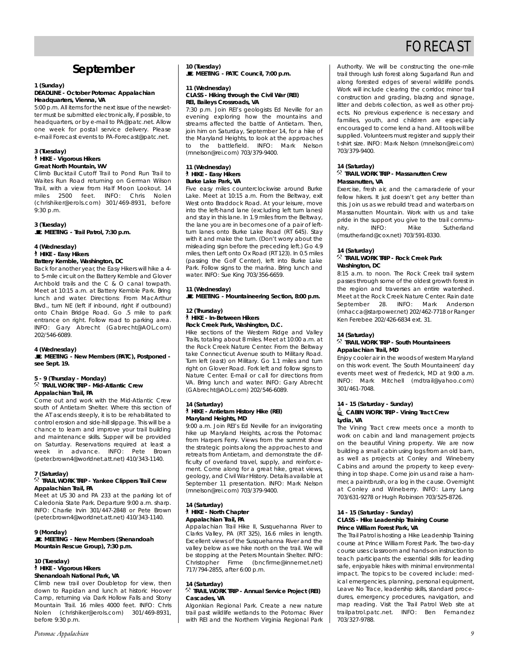# FORECAST

# **September**

#### **1 (Sunday) DEADLINE - October** *Potomac Appalachian* **Headquarters, Vienna, VA**

5:00 p.m. All items for the next issue of the newsletter must be submitted electronically, if possible, to headquarters, or by e-mail to PA@patc.net. Allow one week for postal service delivery. Please e-mail Forecast events to PA-Forecast@patc.net.

## **3 (Tuesday)**

` **HIKE - Vigorous Hikers Great North Mountain, WV**

Climb Bucktail Cutoff Trail to Pond Run Trail to Waites Run Road returning on German Wilson Trail, with a view from Half Moon Lookout. 14 miles 2500 feet. INFO: Chris Nolen (chrishiker@erols.com) 301/469-8931, before 9:30 p.m.

### **3 (Tuesday)** \**MEETING - Trail Patrol, 7:30 p.m.**

#### **4 (Wednesday)** ` **HIKE - Easy Hikers Battery Kemble, Washington, DC**

Back for another year, the Easy Hikers will hike a 4 to 5-mile circuit on the Battery Kemble and Glover Archbold trails and the C & O canal towpath. Meet at 10:15 a.m. at Battery Kemble Park. Bring lunch and water. Directions: From MacArthur Blvd., turn NE (left if inbound, right if outbound) onto Chain Bridge Road. Go .5 mile to park entrance on right. Follow road to parking area. INFO: Gary Abrecht (Gabrecht@AOL.com) 202/546-6089.

#### **4 (Wednesday)**

#### \**MEETING - New Members (PATC), Postponed see Sept. 19.**

## **5 - 9 (Thursday - Monday)** . **TRAIL WORK TRIP - Mid-Atlantic Crew Appalachian Trail, PA**

Come out and work with the Mid-Atlantic Crew south of Antietam Shelter. Where this section of the AT ascends steeply, it is to be rehabilitated to control erosion and side-hill slippage. This will be a chance to learn and improve your trail building and maintenance skills. Supper will be provided on Saturday. Reservations required at least a week in advance. INFO: Pete Brown (peter.brown4@worldnet.att.net) 410/343-1140.

### **7 (Saturday)**

### . **TRAIL WORK TRIP - Yankee Clippers Trail Crew Appalachian Trail, PA**

Meet at US 30 and PA 233 at the parking lot of Caledonia State Park. Departure 9:00 a.m. sharp. INFO: Charlie Irvin 301/447-2848 or Pete Brown (peter.brown4@worldnet.att.net) 410/343-1140.

#### **9 (Monday)**

\**MEETING - New Members (Shenandoah Mountain Rescue Group), 7:30 p.m.**

## **10 (Tuesday)** ` **HIKE - Vigorous Hikers**

## **Shenandoah National Park, VA**

Climb new trail over Doubletop for view, then down to Rapidan and lunch at historic Hoover Camp, returning via Dark Hollow Falls and Stony Mountain Trail. 16 miles 4000 feet. INFO: Chris Nolen (chrishiker@erols.com) 301/469-8931, before 9:30 p.m.

## **10 (Tuesday)**

\**MEETING - PATC Council, 7:00 p.m.**

#### **11 (Wednesday) CLASS - Hiking through the Civil War (REI) REI, Baileys Crossroads, VA**

7:30 p.m. Join REI's geologists Ed Neville for an evening exploring how the mountains and streams affected the battle of Antietam. Then, join him on Saturday, September 14, for a hike of the Maryland Heights, to look at the approaches to the battlefield. INFO: Mark Nelson (mnelson@rei.com) 703/379-9400.

#### **11 (Wednesday)** ` **HIKE - Easy Hikers Burke Lake Park, VA**

Five easy miles counterclockwise around Burke Lake. Meet at 10:15 a.m. From the Beltway, exit West onto Braddock Road. At your leisure, move into the left-hand lane (excluding left turn lanes) and stay in this lane. In 1.9 miles from the Beltway, the lane you are in becomes one of a pair of leftturn lanes onto Burke Lake Road (RT 645). Stay with it and make the turn. (Don't worry about the misleading sign before the preceding left.) Go 4.9 miles, then Left onto Ox Road (RT 123). In 0.5 miles (passing the Golf Center), left into Burke Lake Park. Follow signs to the marina. Bring lunch and water. INFO: Sue King 703/356-6659.

### **11 (Wednesday)**

\**MEETING - Mountaineering Section, 8:00 p.m.**

#### **12 (Thursday)** ` **HIKE - In-Between Hikers Rock Creek Park, Washington, D.C.**

Hike sections of the Western Ridge and Valley Trails, totaling about 8 miles. Meet at 10:00 a.m. at the Rock Creek Nature Center. From the Beltway take Connecticut Avenue south to Military Road. Turn left (east) on Military. Go 1.1 miles and turn right on Glover Road. Fork left and follow signs to Nature Center. E-mail or call for directions from VA. Bring lunch and water. INFO: Gary Abrecht (GAbrecht@AOL.com) 202/546-6089.

#### **14 (Saturday)** ` **HIKE - Antietam History Hike (REI) Maryland Heights, MD**

9:00 a.m. Join REI's Ed Neville for an invigorating hike up Maryland Heights, across the Potomac from Harpers Ferry. Views from the summit show the strategic points along the approaches to and retreats from Antietam, and demonstrate the difficulty of overland travel, supply, and reinforcement. Come along for a great hike, great views, geology, and Civil War History. Details available at September 11 presentation. INFO: Mark Nelson (mnelson@rei.com) 703/379-9400.

#### **14 (Saturday)** ` **HIKE - North Chapter Appalachian Trail, PA**

Appalachian Trail Hike II, Susquehanna River to Clarks Valley, PA (RT 325), 16.6 miles in length. Excellent views of the Susquehanna River and the valley below as we hike north on the trail. We will be stopping at the Peters Mountain Shelter. INFO: Christopher Firme (bncfirme@innernet.net) 717/794-2855, after 6:00 p.m.

#### **14 (Saturday)** . **TRAIL WORK TRIP - Annual Service Project (REI) Cascades, VA**

Algonkian Regional Park. Create a new nature trail past wildlife wetlands to the Potomac River with REI and the Northern Virginia Regional Park Authority. We will be constructing the one-mile trail through lush forest along Sugarland Run and along forested edges of several wildlife ponds. Work will include clearing the corridor, minor trail construction and grading, blazing and signage, litter and debris collection, as well as other projects. No previous experience is necessary and families, youth, and children are especially encouraged to come lend a hand. All tools will be supplied. Volunteers must register and supply their t-shirt size. INFO: Mark Nelson (mnelson@rei.com) 703/379-9400.

## **14 (Saturday)**

### . **TRAIL WORK TRIP - Massanutten Crew Massanutten, VA**

Exercise, fresh air, and the camaraderie of your fellow hikers. It just doesn't get any better than this. Join us as we rebuild tread and waterbars on Massanutten Mountain. Work with us and take pride in the support you give to the trail community. INFO: Mike Sutherland (msutherland@cox.net) 703/591-8330.

### **14 (Saturday)**

### . **TRAIL WORK TRIP - Rock Creek Park Washington, DC**

8:15 a.m. to noon. The Rock Creek trail system passes through some of the oldest growth forest in the region and traverses an entire watershed. Meet at the Rock Creek Nature Center. Rain date September 28. INFO: Mark Anderson (mhacca@starpower.net) 202/462-7718 or Ranger Ken Ferebee 202/426-6834 ext. 31.

### **14 (Saturday)**

### . **TRAIL WORK TRIP - South Mountaineers Appalachian Trail, MD**

Enjoy cooler air in the woods of western Maryland on this work event. The South Mountaineers' day events meet west of Frederick, MD at 9:00 a.m. INFO: Mark Mitchell (mdtrail@yahoo.com) 301/461-7048.

### **14 - 15 (Saturday - Sunday)** i**CABIN WORK TRIP - Vining Tract Crew Lydia, VA**

The Vining Tract crew meets once a month to work on cabin and land management projects on the beautiful Vining property. We are now building a small cabin using logs from an old barn, as well as projects at Conley and Wineberry Cabins and around the property to keep everything in top shape. Come join us and raise a hammer, a paintbrush, or a log in the cause. Overnight at Conley and Wineberry. INFO: Larry Lang 703/631-9278 or Hugh Robinson 703/525-8726.

#### **14 - 15 (Saturday - Sunday) CLASS - Hike Leadership Training Course Prince William Forest Park, VA**

The Trail Patrol is hosting a Hike Leadership Training course at Prince William Forest Park. The two-day course uses classroom and hands-on instruction to teach participants the essential skills for leading safe, enjoyable hikes with minimal environmental impact. The topics to be covered include: medical emergencies, planning, personal equipment, Leave No Trace, leadership skills, standard procedures, emergency procedures, navigation, and map reading. Visit the Trail Patrol Web site at trailpatrol.patc.net. INFO: Ben Fernandez 703/327-9788.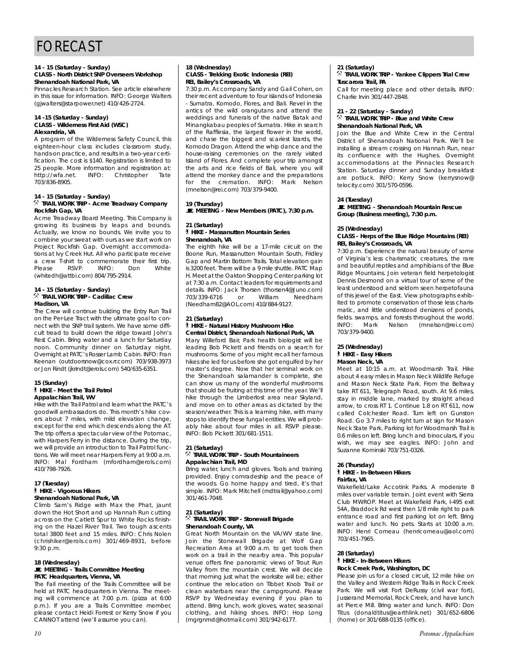#### **14 - 15 (Saturday - Sunday) CLASS - North District SNP Overseers Workshop Shenandoah National Park, VA**

Pinnacles Research Station. See article elsewhere in this issue for information. INFO: George Walters (gjwalters@starpower.net) 410/426-2724.

#### **14 -15 (Saturday - Sunday) CLASS - Wilderness First Aid (WSC) Alexandria, VA**

A program of the Wilderness Safety Council, this eighteen-hour class includes classroom study, hands-on practice, and results in a two-year certification. The cost is \$140. Registration is limited to 25 people. More information and registration at: http://wfa.net. INFO: Christopher Tate 703/836-8905.

## **14 - 15 (Saturday - Sunday)** . **TRAIL WORK TRIP - Acme Treadway Company Rockfish Gap, VA**

Acme Treadway Board Meeting. This Company is growing its business by leaps and bounds. Actually, we know no bounds. We invite you to combine your sweat with ours as we start work on Project Rockfish Gap. Overnight accommodations at Ivy Creek Hut. All who participate receive a crew T-shirt to commemorate their first trip.<br>Please RSVP. INFO: Don White Please RSVP. INFO: Don White (whitedh@attbi.com) 804/795-2914.

#### **14 - 15 (Saturday - Sunday)** . **TRAIL WORK TRIP - Cadillac Crew Madison, VA**

The Crew will continue building the Entry Run Trail on the Per-Lee Tract with the ultimate goal to connect with the SNP trail system. We have some difficult tread to build down the ridge toward John's Rest Cabin. Bring water and a lunch for Saturday noon. Community dinner on Saturday night. Overnight at PATC's Rosser Lamb Cabin. INFO: Fran Keenan (outdoorsnow@cox.rr.com) 703/938-3973 or Jon Rindt (jkrindt@erols.com) 540/635-6351.

## **15 (Sunday)**

#### ` **HIKE - Meet the Trail Patrol Appalachian Trail, WV**

Hike with the Trail Patrol and learn what the PATC's goodwill ambassadors do. This month's hike covers about 7 miles, with mild elevation change, except for the end which descends along the AT. The trip offers a spectacular view of the Potomac, with Harpers Ferry in the distance. During the trip, we will provide an introduction to Trail Patrol functions. We will meet near Harpers Ferry at 9:00 a.m. INFO: Mal Fordham (mfordham@erols.com) 410/798-7926.

#### **17 (Tuesday)** ` **HIKE - Vigorous Hikers Shenandoah National Park, VA**

Climb Sam's Ridge with Max the Phat, jaunt down the Hot Short and up Hannah Run cutting across on the Catlett Spur to White Rocks finishing on the Hazel River Trail. Two tough ascents total 3800 feet and 15 miles. INFO: Chris Nolen (chrishiker@erols.com) 301/469-8931, before 9:30 p.m.

#### **18 (Wednesday)**  $\blacksquare$  **MEETING - Trails Committee Meeting PATC Headquarters, Vienna, VA**

The Fall meeting of the Trails Committee will be held at PATC headquarters in Vienna. The meeting will commence at 7:00 p.m. (pizza at 6:00 p.m.). If you are a Trails Committee member, please contact Heidi Forrest or Kerry Snow if you CANNOT attend (we'll assume you can).

#### **18 (Wednesday) CLASS - Trekking Exotic Indonesia (REI) REI, Bailey's Crossroads, VA**

7:30 p.m. Accompany Sandy and Gail Cohen, on their recent adventure to four islands of Indonesia - Sumatra, Komodo, Flores, and Bali. Revel in the antics of the wild orangutans and attend the weddings and funerals of the native Batak and Minangkabau peoples of Sumatra. Hike in search of the Rafflesia, the largest flower in the world, and chase the biggest and scariest lizards, the Komodo Dragon. Attend the whip dance and the house-raising ceremonies on the rarely visited Island of Flores. And complete your trip amongst the arts and rice fields of Bali, where you will attend the monkey dance and the preparations for the cremation. INFO: Mark Nelson (mnelson@rei.com) 703/379-9400.

## **19 (Thursday)**

\**MEETING - New Members (PATC), 7:30 p.m.**

#### **21 (Saturday)** ` **HIKE - Massanutten Mountain Series Shenandoah, VA**

The eighth hike will be a 17-mile circuit on the Boone Run, Massanutten Mountain South, Fridley Gap and Martin Bottom Trails. Total elevation gain is 3200 feet. There will be a 9 mile shuttle. PATC Map H. Meet at the Oakton Shopping Center parking lot at 7:30 a.m. Contact leaders for requirements and details. INFO: Jack Thorsen (thorsen4@Juno.com)<br>703/339-6716 or William Needham 703/339-6716 (Needham82@AOL.com) 410/884-9127.

#### **21 (Saturday)**

#### ` **HIKE - Natural History Mushroom Hike Central District, Shenandoah National Park, VA**

Mary Willeford Bair, Park health biologist will be leading Bob Pickett and friends on a search for mushrooms. Some of you might recall her famous hikes she led for us before she got engulfed by her master's degree. Now that her seminal work on the Shenandoah salamander is complete, she can show us many of the wonderful mushrooms that should be fruiting at this time of the year. We'll hike through the Limberlost area near Skyland, and move on to other areas as dictated by the season/weather. This is a learning hike, with many stops to identify these fungal entities. We will probably hike about four miles in all. RSVP please. INFO: Bob Pickett 301/681-1511.

## **21 (Saturday)** . **TRAIL WORK TRIP - South Mountaineers Appalachian Trail, MD**

Bring water, lunch and gloves. Tools and training provided. Enjoy comradeship and the peace of the woods. Go home happy and tired, it's that simple. INFO: Mark Mitchell (mdtrail@yahoo.com) 301/461-7048.

#### **21 (Saturday)** . **TRAIL WORK TRIP - Stonewall Brigade Shenandoah County, VA**

Great North Mountain on the VA/WV state line. Join the Stonewall Brigade at Wolf Gap Recreation Area at 9:00 a.m. to get tools then work on a trail in the nearby area. This popular venue offers fine panoramic views of Trout Run Valley from the mountain crest. We will decide that morning just what the worksite will be; either continue the relocation on Tibbet Knob Trail or clean waterbars near the campground. Please RSVP by Wednesday evening if you plan to attend. Bring lunch, work gloves, water, seasonal clothing, and hiking shoes. INFO: Hop Long (mgrgnmd@hotmail.com) 301/942-6177.

## **21 (Saturday)** . **TRAIL WORK TRIP - Yankee Clippers Trial Crew Tuscarora Trail, PA**

Call for meeting place and other details. INFO: Charlie Irvin 301/447-2848.

#### **21 - 22 (Saturday - Sunday)** . **TRAIL WORK TRIP - Blue and White Crew Shenandoah National Park, VA**

Join the Blue and White Crew in the Central District of Shenandoah National Park. We'll be installing a stream crossing on Hannah Run, near its confluence with the Hughes. Overnight accommodations at the Pinnacles Research Station. Saturday dinner and Sunday breakfast are potluck. INFO: Kerry Snow (kerrysnow@ telocity.com) 301/570-0596.

### **24 (Tuesday)**

\**MEETING - Shenandoah Mountain Rescue Group (Business meeting), 7:30 p.m.**

#### **25 (Wednesday) CLASS - Herps of the Blue Ridge Mountains (REI) REI, Bailey's Crossroads, VA**

7:30 p.m. Experience the natural beauty of some of Virginia's less charismatic creatures, the rare and beautiful reptiles and amphibians of the Blue Ridge Mountains. Join veteran field herpetologist Dennis Desmond on a virtual tour of some of the least understood and seldom seen herpetofauna of this jewel of the East. View photographs exhibited to promote conservation of those less charismatic, and little understood denizens of ponds, fields. swamps, and forests throughout the world. INFO: Mark Nelson (mnelson@rei.com) 703/379-9400.

#### **25 (Wednesday)** ` **HIKE - Easy Hikers Mason Neck, VA**

Meet at 10:15 a.m. at Woodmarsh Trail. Hike about 4 easy miles in Mason Neck Wildlife Refuge and Mason Neck State Park. From the Beltway take RT 611, Telegraph Road, south. At 9.6 miles, stay in middle lane, marked by straight ahead arrow, to cross RT 1. Continue 1.8 on RT 611, now called Colchester Road. Turn left on Gunston Road. Go 3.7 miles to right turn at sign for Mason Neck State Park. Parking lot for Woodmarsh Trail is 0.6 miles on left. Bring lunch and binoculars, if you wish, we may see eagles. INFO: John and Suzanne Kominski 703/751-0326.

#### **26 (Thursday)** ` **HIKE - In-Between Hikers Fairfax, VA**

Wakefield/Lake Accotink Parks. A moderate 8 miles over variable terrain. Joint event with Sierra Club MWROP. Meet at Wakefield Park, I-495 exit 54A, Braddock Rd west then 1/8 mile right to park entrance road and first parking lot on left. Bring water and lunch. No pets. Starts at 10:00 a.m. INFO: Henri Comeau (henricomeau@aol.com) 703/451-7965.

#### **28 (Saturday)** ` **HIKE - In-Between Hikers Rock Creek Park, Washington, DC**

Please join us for a closed circuit, 12 mile hike on the Valley and Western Ridge Trails in Rock Creek Park. We will visit Fort DeRussy (civil war fort), Jusserand Memorial, Rock Creek, and have lunch at Pierce Mill. Bring water and lunch. INFO: Don Titus (donaldtitus@earthlink.net) 301/652-6806 (home) or 301/688-0135 (office).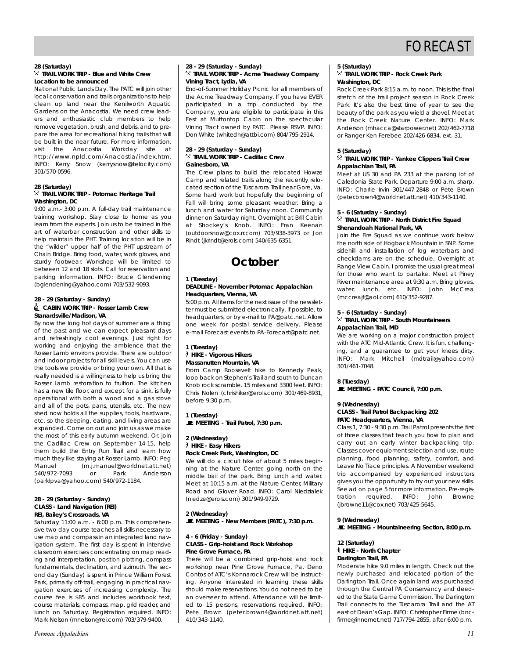# FORECAST

## **28 (Saturday)**

## . **TRAIL WORK TRIP - Blue and White Crew Location to be announced**

National Public Lands Day. The PATC will join other local conservation and trails organizations to help clean up land near the Kenilworth Aquatic Gardens on the Anacostia. We need crew leaders and enthusiastic club members to help remove vegetation, brush, and debris, and to prepare the area for recreational hiking trails that will be built in the near future. For more information, visit the Anacostia Workday site at http://www.npld.com/Anacostia/index.htm. INFO: Kerry Snow (kerrysnow@telocity.com) 301/570-0596.

## **28 (Saturday)** . **TRAIL WORK TRIP - Potomac Heritage Trail Washington, DC**

9:00 a.m.- 3:00 p.m. A full-day trail maintenance training workshop. Stay close to home as you learn from the experts. Join us to be trained in the art of waterbar construction and other skills to help maintain the PHT. Training location will be in the "wilder" upper half of the PHT upstream of Chain Bridge. Bring food, water, work gloves, and sturdy footwear. Workshop will be limited to between 12 and 18 slots. Call for reservation and parking information. INFO: Bruce Glendening (bglendening@yahoo.com) 703/532-9093.

#### **28 - 29 (Saturday - Sunday)** i**CABIN WORK TRIP - Rosser Lamb Crew Stanardsville/Madison, VA**

By now the long hot days of summer are a thing of the past and we can expect pleasant days and refreshingly cool evenings. Just right for working and enjoying the ambience that the Rosser Lamb environs provide. There are outdoor and indoor projects for all skill levels. You can use the tools we provide or bring your own. All that is really needed is a willingness to help us bring the Rosser Lamb restoration to fruition. The kitchen has a new tile floor, and except for a sink, is fully operational with both a wood and a gas stove and all of the pots, pans, utensils, etc. The new shed now holds all the supplies, tools, hardware, etc. so the sleeping, eating, and living areas are expanded. Come on out and join us as we make the most of this early autumn weekend. Or, join the Cadillac Crew on September 14-15, help them build the Entry Run Trail and learn how much they like staying at Rosser Lamb. INFO: Peg Manuel (m.j.manuel@worldnet.att.net) 540/972-7093 or Park Anderson (parklpva@yahoo.com) 540/972-1184.

#### **28 - 29 (Saturday - Sunday) CLASS - Land Navigation (REI) REI, Bailey's Crossroads, VA**

Saturday 11:00 a.m. - 6:00 p.m. This comprehensive two-day course teaches all skills necessary to use map and compass in an integrated land navigation system. The first day is spent in intensive classroom exercises concentrating on map reading and interpretation, position plotting, compass fundamentals, declination, and azimuth. The second day (Sunday) is spent in Prince William Forest Park, primarily off-trail, engaging in practical navigation exercises of increasing complexity. The course fee is \$85 and includes workbook text, course materials, compass, map, grid reader, and lunch on Saturday. Registration required. INFO: Mark Nelson (mnelson@rei.com) 703/379-9400.

#### **28 - 29 (Saturday - Sunday)**  $\overline{\mathcal{R}}$  TRAIL WORK TRIP - Acme Treadway Company **Vining Tract, Lydia, VA**

End-of-Summer Holiday Picnic for all members of the Acme Treadway Company. If you have EVER participated in a trip conducted by the Company, you are eligible to participate in this Fest at Muttontop Cabin on the spectacular Vining Tract owned by PATC. Please RSVP. INFO: Don White (whitedh@attbi.com) 804/795-2914.

#### **28 - 29 (Saturday - Sunday)** . **TRAIL WORK TRIP - Cadillac Crew Gainesboro, VA**

The Crew plans to build the relocated Howze Camp and related trails along the recently relocated section of the Tuscarora Trail near Gore, Va. Some hard work but hopefully the beginning of Fall will bring some pleasant weather. Bring a lunch and water for Saturday noon. Community dinner on Saturday night. Overnight at Brill Cabin at Shockey's Knob. INFO: Fran Keenan (outdoorsnow@cox.rr.com) 703/938-3973 or Jon Rindt (jkrindt@erols.com) 540/635-6351.

# **October**

#### **1 (Tuesday) DEADLINE - November P***otomac Appalachian* **Headquarters, Vienna, VA**

5:00 p.m. All items for the next issue of the newsletter must be submitted electronically, if possible, to headquarters, or by e-mail to PA@patc.net. Allow one week for postal service delivery. Please e-mail Forecast events to PA-Forecast@patc.net.

### **1 (Tuesday)** ` **HIKE - Vigorous Hikers Massanutten Mountain, VA**

From Camp Roosevelt hike to Kennedy Peak, loop back on Stephen's Trail and south to Duncan Knob rock scramble. 15 miles and 3300 feet. INFO: Chris Nolen (chrishiker@erols.com) 301/469-8931, before 9:30 p.m.

**1 (Tuesday)** \**MEETING - Trail Patrol, 7:30 p.m.**

#### **2 (Wednesday)** ` **HIKE - Easy Hikers Rock Creek Park, Washington, DC**

We will do a circuit hike of about 5 miles beginning at the Nature Center, going north on the middle trail of the park. Bring lunch and water. Meet at 10:15 a.m. at the Nature Center, Military Road and Glover Road. INFO: Carol Niedzialek (niedze@erols.com) 301/949-9729.

### **2 (Wednesday)** \**MEETING - New Members (PATC), 7:30 p.m.**

#### **4 - 6 (Friday - Sunday) CLASS - Grip-hoist and Rock Workshop Pine Grove Furnace, PA**

There will be a combined grip-hoist and rock workshop near Pine Grove Furnace, Pa. Deno Contos of ATC's Konnarock Crew will be instructing. Anyone interested in learning these skills should make reservations. You do not need to be an overseer to attend. Attendance will be limited to 15 persons, reservations required. INFO: Pete Brown (peter.brown4@worldnet.att.net) 410/343-1140.

### **5 (Saturday)**

## . **TRAIL WORK TRIP - Rock Creek Park Washington, DC**

Rock Creek Park 8:15 a.m. to noon. This is the final stretch of the trail project season in Rock Creek Park. It's also the best time of year to see the beauty of the park as you wield a shovel. Meet at the Rock Creek Nature Center. INFO: Mark Anderson (mhacca@starpower.net) 202/462-7718 or Ranger Ken Ferebee 202/426-6834, ext. 31.

### **5 (Saturday)**

#### . **TRAIL WORK TRIP - Yankee Clippers Trail Crew Appalachian Trail, PA**

Meet at US 30 and PA 233 at the parking lot of Caledonia State Park. Departure 9:00 a.m. sharp. INFO: Charlie Irvin 301/447-2848 or Pete Brown (peter.brown4@worldnet.att.net) 410/343-1140.

#### **5 - 6 (Saturday - Sunday)**

## . **TRAIL WORK TRIP - North District Fire Squad Shenandoah National Park, VA**

Join the Fire Squad as we continue work below the north side of Hogback Mountain in SNP. Some sidehill and installation of log waterbars and checkdams are on the schedule. Overnight at Range View Cabin. I promise the usual great meal for those who want to partake. Meet at Piney River maintenance area at 9:30 a.m. Bring gloves, water, lunch, etc. INFO: John McCrea (mccreajf@aol.com) 610/352-9287.

#### **5 - 6 (Saturday - Sunday)** . **TRAIL WORK TRIP - South Mountaineers Appalachian Trail, MD**

We are working on a major construction project with the ATC Mid-Atlantic Crew. It is fun, challenging, and a guarantee to get your knees dirty. INFO: Mark Mitchell (mdtrail@yahoo.com) 301/461-7048.

#### **8 (Tuesday)**

**MEETING - PATC Council, 7:00 p.m.** 

#### **9 (Wednesday) CLASS - Trail Patrol Backpacking 202 PATC Headquarters, Vienna, VA**

Class 1, 7:30 - 9:30 p.m. Trail Patrol presents the first of three classes that teach you how to plan and carry out an early winter backpacking trip. Classes cover equipment selection and use, route planning, food planning, safety, comfort, and Leave No Trace principles. A November weekend trip accompanied by experienced instructors gives you the opportunity to try out your new skills. See ad on page 5 for more information. Pre-registration required. INFO: John Browne (jbrowne11@cox.net) 703/425-5645.

### **9 (Wednesday)** \**MEETING - Mountaineering Section, 8:00 p.m.**

#### **12 (Saturday)** ` **HIKE - North Chapter Darlington Trail, PA**

Moderate hike 9.0 miles in length. Check out the newly purchased and relocated portion of the Darlington Trail. Once again land was purchased through the Central PA Conservancy and deeded to the State Game Commission. The Darlington Trail connects to the Tuscarora Trail and the AT east of Dean's Gap. INFO: Christopher Firme (bncfirme@innernet.net) 717/794-2855, after 6:00 p.m.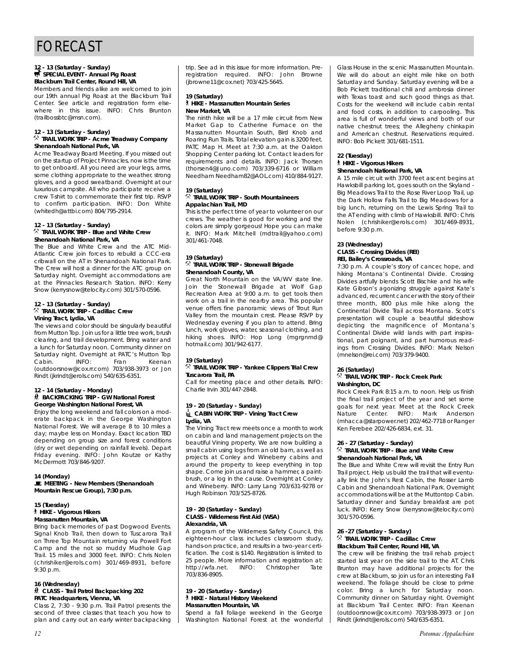## 12 - 13 (Saturday - Sunday)<br>**\$SPECIAL EVENT - Annual Pig Roast Blackburn Trail Center, Round Hill, VA**

Members and friends alike are welcomed to join our 19th annual Pig Roast at the Blackburn Trail Center. See article and registration form elsewhere in this issue. INFO: Chris Brunton (trailbossbtc@msn.com).

# **12 - 13 (Saturday - Sunday)** . **TRAIL WORK TRIP - Acme Treadway Company**

# **Shenandoah National Park, VA**

Acme Treadway Board Meeting. If you missed out on the startup of Project Pinnacles, now is the time to get onboard. All you need are your legs, arms, some clothing appropriate to the weather, strong gloves, and a good sweatband. Overnight at our luxurious campsite. All who participate receive a crew T-shirt to commemorate their first trip. RSVP to confirm participation. INFO: Don White (whitedh@attbi.com) 804/795-2914.

## **12 - 13 (Saturday - Sunday)** . **TRAIL WORK TRIP - Blue and White Crew Shenandoah National Park, VA**

The Blue and White Crew and the ATC Mid-Atlantic Crew join forces to rebuild a CCC-era cribwall on the AT in Shenandoah National Park. The Crew will host a dinner for the ATC group on Saturday night. Overnight accommodations are at the Pinnacles Research Station. INFO: Kerry Snow (kerrysnow@telocity.com) 301/570-0596.

## **12 - 13 (Saturday - Sunday)** . **TRAIL WORK TRIP - Cadillac Crew Vining Tract, Lydia, VA**

The views and color should be singularly beautiful from Mutton Top. Join us for a little tree work, brush clearing, and trail development. Bring water and a lunch for Saturday noon. Community dinner on Saturday night. Overnight at PATC's Mutton Top Cabin. INFO: Fran Keenan (outdoorsnow@cox.rr.com) 703/938-3973 or Jon Rindt (jkrindt@erols.com) 540/635-6351.

#### **12 - 14 (Saturday - Monday)** ~ **BACKPACKING TRIP - GW National Forest George Washington National Forest, VA**

Enjoy the long weekend and fall colors on a moderate backpack in the George Washington National Forest. We will average 8 to 10 miles a day; maybe less on Monday. Exact location TBD depending on group size and forest conditions (dry or wet depending on rainfall levels). Depart Friday evening. INFO: John Koutze or Kathy McDermott 703/846-9207.

### **14 (Monday)**

\**MEETING - New Members (Shenandoah Mountain Rescue Group), 7:30 p.m.**

#### **15 (Tuesday)** ` **HIKE - Vigorous Hikers Massanutten Mountain, VA**

Bring back memories of past Dogwood Events. Signal Knob Trail, then down to Tuscarora Trail on Three Top Mountain returning via Powell Fort Camp and the not so muddy Mudhole Gap Trail. 15 miles and 3000 feet. INFO: Chris Nolen (chrishiker@erols.com) 301/469-8931, before  $9:30$  p.m.

## **16 (Wednesday)**

## ~ **CLASS - Trail Patrol Backpacking 202 PATC Headquarters, Vienna, VA**

Class 2, 7:30 - 9:30 p.m. Trail Patrol presents the second of three classes that teach you how to plan and carry out an early winter backpacking trip. See ad in this issue for more information. Preregistration required. INFO: John Browne (jbrowne11@cox.net) 703/425-5645.

#### **19 (Saturday)** ` **HIKE - Massanutten Mountain Series New Market, VA**

The ninth hike will be a 17 mile circuit from New Market Gap to Catherine Furnace on the Massanutten Mountain South, Bird Knob and Roaring Run Trails. Total elevation gain is 3200 feet. PATC Map H. Meet at 7:30 a.m. at the Oakton Shopping Center parking lot. Contact leaders for requirements and details. INFO: Jack Thorsen (thorsen4@Juno.com) 703/339-6716 or William Needham Needham82@AOL.com) 410/884-9127.

#### **19 (Saturday)** . **TRAIL WORK TRIP - South Mountaineers Appalachian Trail, MD**

This is the perfect time of year to volunteer on our crews. The weather is good for working and the colors are simply gorgeous! Hope you can make it. INFO: Mark Mitchell (mdtrail@yahoo.com) 301/461-7048.

#### **19 (Saturday)** . **TRAIL WORK TRIP - Stonewall Brigade Shenandoah County, VA**

Great North Mountain on the VA/WV state line. Join the Stonewall Brigade at Wolf Gap Recreation Area at 9:00 a.m. to get tools then work on a trail in the nearby area. This popular venue offers fine panoramic views of Trout Run Valley from the mountain crest. Please RSVP by Wednesday evening if you plan to attend. Bring lunch, work gloves, water, seasonal clothing, and hiking shoes. INFO: Hop Long (mgrgnmd@ hotmail.com) 301/942-6177.

## **19 (Saturday)**

#### . **TRAIL WORK TRIP - Yankee Clippers Trial Crew Tuscarora Trail, PA**

Call for meeting place and other details. INFO: Charlie Irvin 301/447-2848.

### **19 - 20 (Saturday - Sunday)**

### i**CABIN WORK TRIP - Vining Tract Crew Lydia, VA**

The Vining Tract rew meets once a month to work on cabin and land management projects on the beautiful Vining property. We are now building a small cabin using logs from an old barn, as well as projects at Conley and Wineberry cabins and around the property to keep everything in top shape. Come join us and raise a hammer, a paintbrush, or a log in the cause. Overnight at Conley and Wineberry. INFO: Larry Lang 703/631-9278 or Hugh Robinson 703/525-8726.

#### **19 - 20 (Saturday - Sunday) CLASS - Wilderness First Aid (WSA) Alexandria, VA**

A program of the Wilderness Safety Council, this eighteen-hour class includes classroom study, hands-on practice, and results in a two-year certification. The cost is \$140. Registration is limited to 25 people. More information and registration at:<br>http://wfa.net. INFO: Christopher Tate INFO: Christopher Tate 703/836-8905.

#### **19 - 20 (Saturday - Sunday)** ` **HIKE - Natural History Weekend Massanutten Mountain, VA**

Spend a fall foliage weekend in the George Washington National Forest at the wonderful Glass House in the scenic Massanutten Mountain. We will do about an eight mile hike on both Saturday and Sunday. Saturday evening will be a Bob Pickett traditional chili and ambrosia dinner with Texas toast and such good things as that. Costs for the weekend will include cabin rental and food costs, in addition to carpooling. This area is full of wonderful views and both of our native chestnut trees; the Allegheny chinkapin and American chestnut. Reservations required. INFO: Bob Pickett 301/681-1511.

#### **22 (Tuesday)** ` **HIKE - Vigorous Hikers Shenandoah National Park, VA**

A 15 mile circuit with 3700 feet ascent begins at Hawksbill parking lot, goes south on the Skyland - Big Meadows Trail to the Rose River Loop Trail, up the Dark Hollow Falls Trail to Big Meadows for a big lunch, returning on the Lewis Spring Trail to the AT ending with climb of Hawksbill. INFO: Chris Nolen (chrishiker@erols.com) 301/469-8931, before 9:30 p.m.

#### **23 (Wednesday) CLASS - Crossing Divides (REI) REI, Bailey's Crossroads, VA**

7:30 p.m. A couple's story of cancer, hope, and hiking Montana's Continental Divide. Crossing Divides artfully blends Scott Bischke and his wife Kate Gibson's agonizing struggle against Kate's advanced, recurrent cancer with the story of their three month, 800 plus mile hike along the Continental Divide Trail across Montana. Scott's presentation will couple a beautiful slideshow depicting the magnificence of Montana's Continental Divide wild lands with part inspirational, part poignant, and part humorous readings from Crossing Divides. INFO: Mark Nelson (mnelson@rei.com) 703/379-9400.

## **26 (Saturday)** . **TRAIL WORK TRIP - Rock Creek Park Washington, DC**

Rock Creek Park 8:15 a.m. to noon. Help us finish the final trail project of the year and set some goals for next year. Meet at the Rock Creek Nature Center. INFO: Mark Anderson (mhacca@starpower.net) 202/462-7718 or Ranger Ken Ferebee 202/426-6834, ext. 31.

#### **26 - 27 (Saturday - Sunday)** . **TRAIL WORK TRIP - Blue and White Crew Shenandoah National Park, VA**

The Blue and White Crew will revisit the Entry Run Trail project. Help us build the trail that will eventually link the John's Rest Cabin, the Rosser Lamb Cabin and Shenandoah National Park. Overnight accommodations will be at the Muttontop Cabin. Saturday dinner and Sunday breakfast are pot luck. INFO: Kerry Snow (kerrysnow@telocity.com) 301/570-0596.

#### **26 -27 (Saturday - Sunday)** . **TRAIL WORK TRIP - Cadillac Crew Blackburn Trail Center, Round Hill, VA**

The crew will be finishing the trail rehab project started last year on the side trail to the AT. Chris Brunton may have additional projects for the crew at Blackburn, so join us for an interesting Fall weekend. The foliage should be close to prime color. Bring a lunch for Saturday noon. Community dinner on Saturday night. Overnight at Blackburn Trail Center. INFO: Fran Keenan (outdoorsnow@cox.rr.com) 703/938-3973 or Jon Rindt (jkrindt@erols.com) 540/635-6351.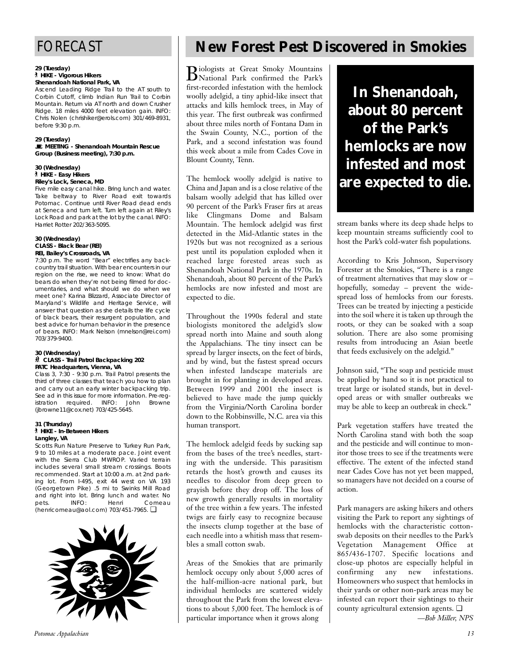# FORECAST

#### **29 (Tuesday)** ` **HIKE - Vigorous Hikers Shenandoah National Park, VA**

Ascend Leading Ridge Trail to the AT south to Corbin Cutoff, climb Indian Run Trail to Corbin Mountain. Return via AT north and down Crusher Ridge. 18 miles 4000 feet elevation gain. INFO: Chris Nolen (chrishiker@erols.com) 301/469-8931, before 9:30 p.m.

#### **29 (Tuesday)**

\**MEETING - Shenandoah Mountain Rescue Group (Business meeting), 7:30 p.m.**

#### **30 (Wednesday)** ` **HIKE - Easy Hikers Riley's Lock, Seneca, MD**

Five mile easy canal hike. Bring lunch and water. Take beltway to River Road exit towards Potomac. Continue until River Road dead ends at Seneca and turn left. Turn left again at Riley's Lock Road and park at the lot by the canal. INFO: Harriet Rotter 202/363-5095.

### **30 (Wednesday) CLASS - Black Bear (REI) REI, Bailey's Crossroads, VA**

7:30 p.m. The word "Bear" electrifies any backcountry trail situation. With bear encounters in our region on the rise, we need to know: What do bears do when they're not being filmed for documentaries, and what should we do when we meet one? Karina Blizzard, Associate Director of Maryland's Wildlife and Heritage Service, will answer that question as she details the life cycle of black bears, their resurgent population, and best advice for human behavior in the presence of bears. INFO: Mark Nelson (mnelson@rei.com) 703/379-9400.

#### **30 (Wednesday)** ~ **CLASS - Trail Patrol Backpacking 202 PATC Headquarters, Vienna, VA**

Class 3, 7:30 - 9:30 p.m. Trail Patrol presents the third of three classes that teach you how to plan and carry out an early winter backpacking trip. See ad in this issue for more information. Pre-registration required. INFO: John Browne (jbrowne11@cox.net) 703/425-5645.

#### **31 (Thursday)** ` **HIKE - In-Between Hikers Langley, VA**

Scotts Run Nature Preserve to Turkey Run Park, 9 to 10 miles at a moderate pace. Joint event with the Sierra Club MWROP. Varied terrain includes several small stream crossings. Boots recommended. Start at 10:00 a.m. at 2nd parking lot. From I-495, exit 44 west on VA 193 (Georgetown Pike) .5 mi to Swinks Mill Road and right into lot. Bring lunch and water. No<br>pets. (INFO: Henri Comeau) pets. INFO: Henri Comeau (henricomeau@aol.com) 703/451-7965. ❏



# **New Forest Pest Discovered in Smokies**

Biologists at Great Smoky Mountains National Park confirmed the Park's first-recorded infestation with the hemlock woolly adelgid, a tiny aphid-like insect that attacks and kills hemlock trees, in May of this year. The first outbreak was confirmed about three miles north of Fontana Dam in the Swain County, N.C., portion of the Park, and a second infestation was found this week about a mile from Cades Cove in Blount County, Tenn.

The hemlock woolly adelgid is native to China and Japan and is a close relative of the balsam woolly adelgid that has killed over 90 percent of the Park's Fraser firs at areas like Clingmans Dome and Balsam Mountain. The hemlock adelgid was first detected in the Mid-Atlantic states in the 1920s but was not recognized as a serious pest until its population exploded when it reached large forested areas such as Shenandoah National Park in the 1970s. In Shenandoah, about 80 percent of the Park's hemlocks are now infested and most are expected to die.

Throughout the 1990s federal and state biologists monitored the adelgid's slow spread north into Maine and south along the Appalachians. The tiny insect can be spread by larger insects, on the feet of birds, and by wind, but the fastest spread occurs when infested landscape materials are brought in for planting in developed areas. Between 1999 and 2001 the insect is believed to have made the jump quickly from the Virginia/North Carolina border down to the Robbinsville, N.C. area via this human transport.

The hemlock adelgid feeds by sucking sap from the bases of the tree's needles, starting with the underside. This parasitism retards the host's growth and causes its needles to discolor from deep green to grayish before they drop off. The loss of new growth generally results in mortality of the tree within a few years. The infested twigs are fairly easy to recognize because the insects clump together at the base of each needle into a whitish mass that resembles a small cotton swab.

Areas of the Smokies that are primarily hemlock occupy only about 5,000 acres of the half-million-acre national park, but individual hemlocks are scattered widely throughout the Park from the lowest elevations to about 5,000 feet. The hemlock is of particular importance when it grows along

**In Shenandoah, about 80 percent of the Park's hemlocks are now infested and most are expected to die.**

stream banks where its deep shade helps to keep mountain streams sufficiently cool to host the Park's cold-water fish populations.

According to Kris Johnson, Supervisory Forester at the Smokies, "There is a range of treatment alternatives that may slow or – hopefully, someday – prevent the widespread loss of hemlocks from our forests. Trees can be treated by injecting a pesticide into the soil where it is taken up through the roots, or they can be soaked with a soap solution. There are also some promising results from introducing an Asian beetle that feeds exclusively on the adelgid."

Johnson said, "The soap and pesticide must be applied by hand so it is not practical to treat large or isolated stands, but in developed areas or with smaller outbreaks we may be able to keep an outbreak in check."

Park vegetation staffers have treated the North Carolina stand with both the soap and the pesticide and will continue to monitor those trees to see if the treatments were effective. The extent of the infected stand near Cades Cove has not yet been mapped, so managers have not decided on a course of action.

Park managers are asking hikers and others visiting the Park to report any sightings of hemlocks with the characteristic cottonswab deposits on their needles to the Park's Vegetation Management Office at 865/436-1707. Specific locations and close-up photos are especially helpful in confirming any new infestations. Homeowners who suspect that hemlocks in their yards or other non-park areas may be infested can report their sightings to their county agricultural extension agents. ❏ *—Bob Miller, NPS*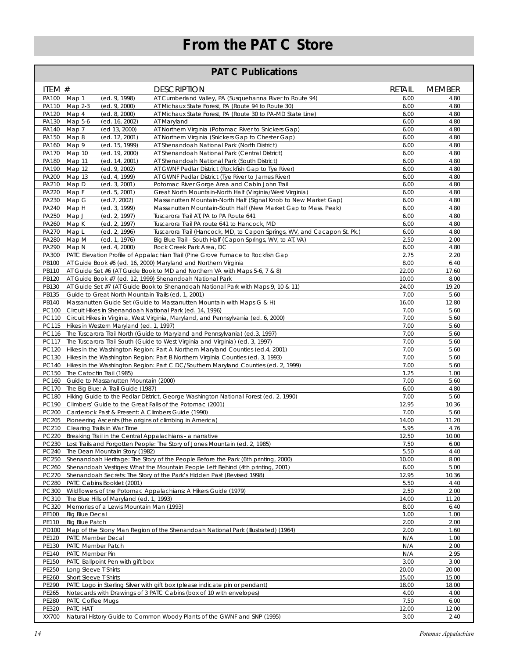# **From the PATC Store**

# **PATC Publications**

| ITEM #                                         | <b>DESCRIPTION</b>                                                                                                                                                            | <b>RETAIL</b> | <b>MEMBER</b> |
|------------------------------------------------|-------------------------------------------------------------------------------------------------------------------------------------------------------------------------------|---------------|---------------|
| PA100<br>Map 1<br><b>PA110</b><br>Map 2-3      | (ed. 9, 1998)<br>AT Cumberland Valley, PA (Susquehanna River to Route 94)<br>(ed. 9, 2000)<br>AT Michaux State Forest, PA (Route 94 to Route 30)                              | 6.00<br>6.00  | 4.80<br>4.80  |
| PA120 Map 4                                    | (ed. 8, 2000)<br>AT Michaux State Forest, PA (Route 30 to PA-MD State Line)                                                                                                   | 6.00          | 4.80          |
| Map 5-6<br>PA130                               | (ed. 16, 2002)<br>AT Maryland                                                                                                                                                 | 6.00          | 4.80          |
| PA140<br>Map 7                                 | (ed 13, 2000)<br>AT Northern Virginia (Potomac River to Snickers Gap)                                                                                                         | 6.00          | 4.80          |
| <b>PA150</b><br>Map 8                          | (ed. 12, 2001)<br>AT Northern Virginia (Snickers Gap to Chester Gap)                                                                                                          | 6.00          | 4.80          |
| PA160<br>Map 9                                 | (ed. 15, 1999)<br>AT Shenandoah National Park (North District)                                                                                                                | 6.00          | 4.80          |
| <b>PA170</b><br>Map 10<br>PA180<br>Map 11      | (ed. 19, 2000)<br>AT Shenandoah National Park (Central District)<br>(ed. 14, 2001)<br>AT Shenandoah National Park (South District)                                            | 6.00<br>6.00  | 4.80<br>4.80  |
| PA190<br>Map 12                                | (ed. 9, 2002)<br>AT GWNF Pedlar District (Rockfish Gap to Tye River)                                                                                                          | 6.00          | 4.80          |
| PA200<br>Map 13                                | (ed. 4, 1999)<br>AT GWNF Pedlar District (Tye River to James River)                                                                                                           | 6.00          | 4.80          |
| PA210 Map D                                    | (ed. 3, 2001)<br>Potomac River Gorge Area and Cabin John Trail                                                                                                                | 6.00          | 4.80          |
| PA220 Map F                                    | (ed. 5, 2001)<br>Great North Mountain-North Half (Virginia/West Virginia)                                                                                                     | 6.00          | 4.80          |
| PA230<br>Map G                                 | (ed. 7, 2002)<br>Massanutten Mountain-North Half (Signal Knob to New Market Gap)                                                                                              | 6.00          | 4.80          |
| PA240<br>Map H                                 | (ed. 3, 1999)<br>Massanutten Mountain-South Half (New Market Gap to Mass. Peak)                                                                                               | 6.00          | 4.80          |
| PA250<br>Map J<br>PA260<br>Map K               | Tuscarora Trail AT, PA to PA Route 641<br>(ed. 2, 1997)<br>(ed. 2, 1997)<br>Tuscarora Trail PA route 641 to Hancock, MD                                                       | 6.00<br>6.00  | 4.80<br>4.80  |
| PA270<br>Map L                                 | Tuscarora Trail (Hancock, MD, to Capon Springs, WV, and Cacapon St. Pk.)<br>(ed. 2, 1996)                                                                                     | 6.00          | 4.80          |
| PA280 Map M                                    | (ed. 1, 1976)<br>Big Blue Trail - South Half (Capon Springs, WV, to AT, VA)                                                                                                   | 2.50          | 2.00          |
| PA290<br>Map N                                 | (ed. 4, 2000)<br>Rock Creek Park Area, DC                                                                                                                                     | 6.00          | 4.80          |
| PA300                                          | PATC Elevation Profile of Appalachian Trail (Pine Grove Furnace to Rockfish Gap                                                                                               | 2.75          | 2.20          |
| PB100                                          | AT Guide Book #6 (ed. 16, 2000) Maryland and Northern Virginia                                                                                                                | 8.00          | 6.40          |
| PB110                                          | AT Guide Set #6 (AT Guide Book to MD and Northern VA with Maps 5-6, 7 & 8)                                                                                                    | 22.00         | 17.60         |
| PB120                                          | AT Guide Book #7 (ed. 12, 1999) Shenandoah National Park<br>AT Guide Set #7 (AT Guide Book to Shenandoah National Park with Maps 9, 10 & 11)                                  | 10.00         | 8.00          |
| PB130<br>PB135                                 | Guide to Great North Mountain Trails (ed. 1, 2001)                                                                                                                            | 24.00<br>7.00 | 19.20<br>5.60 |
| PB140                                          | Massanutten Guide Set (Guide to Massanutten Mountain with Maps G & H)                                                                                                         | 16.00         | 12.80         |
| <b>PC100</b>                                   | Circuit Hikes in Shenandoah National Park (ed. 14, 1996)                                                                                                                      | 7.00          | 5.60          |
| <b>PC110</b>                                   | Circuit Hikes in Virginia, West Virginia, Maryland, and Pennsylvania (ed. 6, 2000)                                                                                            | 7.00          | 5.60          |
|                                                | PC115 Hikes in Western Maryland (ed. 1, 1997)                                                                                                                                 | 7.00          | 5.60          |
|                                                | PC116 The Tuscarora Trail North (Guide to Maryland and Pennsylvania) (ed.3, 1997)                                                                                             | 7.00          | 5.60          |
| PC117                                          | The Tuscarora Trail South (Guide to West Virginia and Virginia) (ed. 3, 1997)                                                                                                 | 7.00          | 5.60          |
|                                                | PC120 Hikes in the Washington Region: Part A Northern Maryland Counties (ed.4, 2001)<br>PC130 Hikes in the Washington Region: Part B Northern Virginia Counties (ed. 3, 1993) | 7.00<br>7.00  | 5.60<br>5.60  |
|                                                | PC140 Hikes in the Washington Region: Part C DC/Southern Maryland Counties (ed. 2, 1999)                                                                                      | 7.00          | 5.60          |
| PC150 The Catoctin Trail (1985)                |                                                                                                                                                                               | 1.25          | 1.00          |
| PC160                                          | Guide to Massanutten Mountain (2000)                                                                                                                                          | 7.00          | 5.60          |
|                                                | PC170 The Big Blue: A Trail Guide (1987)                                                                                                                                      | 6.00          | 4.80          |
|                                                | PC180 Hiking Guide to the Pedlar District, George Washington National Forest (ed. 2, 1990)                                                                                    | 7.00          | 5.60          |
|                                                | PC190 Climbers' Guide to the Great Falls of the Potomac (2001)                                                                                                                | 12.95         | 10.36         |
|                                                | PC200 Carderock Past & Present: A Climbers Guide (1990)<br>PC205 Pioneering Ascents (the origins of climbing in America)                                                      | 7.00<br>14.00 | 5.60<br>11.20 |
| PC210 Clearing Trails in War Time              |                                                                                                                                                                               | 5.95          | 4.76          |
|                                                | PC220 Breaking Trail in the Central Appalachians - a narrative                                                                                                                | 12.50         | 10.00         |
|                                                | PC230 Lost Trails and Forgotten People: The Story of Jones Mountain (ed. 2, 1985)                                                                                             | 7.50          | 6.00          |
| PC240                                          | The Dean Mountain Story (1982)                                                                                                                                                | 5.50          | 4.40          |
|                                                | PC250 Shenandoah Heritage: The Story of the People Before the Park (6th printing, 2000)                                                                                       | 10.00         | 8.00          |
|                                                | PC260 Shenandoah Vestiges: What the Mountain People Left Behind (4th printing, 2001)                                                                                          | 6.00          | 5.00          |
| PC280 PATC Cabins Booklet (2001)               | PC270 Shenandoah Secrets: The Story of the Park's Hidden Past (Revised 1998)                                                                                                  | 12.95<br>5.50 | 10.36<br>4.40 |
|                                                | PC300 Wildflowers of the Potomac Appalachians: A Hikers Guide (1979)                                                                                                          | 2.50          | 2.00          |
|                                                | PC310 The Blue Hills of Maryland (ed. 1, 1993)                                                                                                                                | 14.00         | 11.20         |
|                                                | PC320 Memories of a Lewis Mountain Man (1993)                                                                                                                                 | 8.00          | 6.40          |
| PE100<br><b>Big Blue Decal</b>                 |                                                                                                                                                                               | 1.00          | 1.00          |
| PE110<br><b>Big Blue Patch</b>                 |                                                                                                                                                                               | 2.00          | 2.00          |
| PD100<br>PE120<br>PATC Member Decal            | Map of the Stony Man Region of the Shenandoah National Park (Illustrated) (1964)                                                                                              | 2.00<br>N/A   | 1.60<br>1.00  |
| PE130<br>PATC Member Patch                     |                                                                                                                                                                               | N/A           | 2.00          |
| PE140<br>PATC Member Pin                       |                                                                                                                                                                               | N/A           | 2.95          |
| PE150                                          | PATC Ballpoint Pen with gift box                                                                                                                                              | 3.00          | 3.00          |
| PE250<br>Long Sleeve T-Shirts                  |                                                                                                                                                                               | 20.00         | 20.00         |
| PE260<br>Short Sleeve T-Shirts                 |                                                                                                                                                                               | 15.00         | 15.00         |
| PE290                                          | PATC Logo in Sterling Silver with gift box (please indicate pin or pendant)                                                                                                   | 18.00         | 18.00         |
| PE265                                          | Notecards with Drawings of 3 PATC Cabins (box of 10 with envelopes)                                                                                                           | 4.00          | 4.00          |
| PE280<br>PATC Coffee Mugs<br>PE320<br>PATC HAT |                                                                                                                                                                               | 7.50<br>12.00 | 6.00<br>12.00 |
| XX700                                          | Natural History Guide to Common Woody Plants of the GWNF and SNP (1995)                                                                                                       | 3.00          | 2.40          |
|                                                |                                                                                                                                                                               |               |               |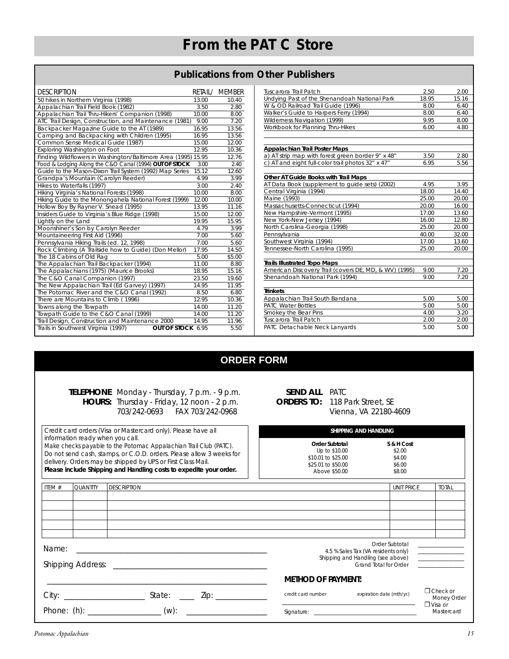## **Publications from Other Publishers**

| <b>DESCRIPTION</b>                                       | RETAIL/ | <b>MEMBER</b> |
|----------------------------------------------------------|---------|---------------|
| 50 hikes in Northern Virginia (1998)                     | 13.00   | 10.40         |
| Appalachian Trail Field Book (1982)                      | 3.50    | 2.80          |
| Appalachian Trail Thru-Hikers' Companion (1998)          | 10.00   | 8.00          |
| ATC Trail Design, Construction, and Maintenance (1981)   | 9.00    | 7.20          |
| Backpacker Magazine Guide to the AT (1989)               | 16.95   | 13.56         |
| Camping and Backpacking with Children (1995)             | 16.95   | 13.56         |
| Common Sense Medical Guide (1987)                        | 15.00   | 12.00         |
| Exploring Washington on Foot                             | 12.95   | 10.36         |
| Finding Wildflowers in Washington/Baltimore Area (1995)  | 15.95   | 12.76         |
| Food & Lodging Along the C&O Canal (1994) OUT OF STOCK   | 3.00    | 2.40          |
| Guide to the Mason-Dixon Trail System (1992) Map Series  | 15.12   | 12.60         |
| Grandpa's Mountain (Carolyn Reeder)                      | 4.99    | 3.99          |
| Hikes to Waterfalls (1997)                               | 3.00    | 2.40          |
| Hiking Virginia's National Forests (1998)                | 10.00   | 8.00          |
| Hiking Guide to the Monongahela National Forest (1999)   | 12.00   | 10.00         |
| Hollow Boy By Rayner V. Snead (1995)                     | 13.95   | 11.16         |
| Insiders Guide to Virginia's Blue Ridge (1998)           | 15.00   | 12.00         |
| Lightly on the Land                                      | 19.95   | 15.95         |
| Moonshiner's Son by Carolyn Reeder                       | 4.79    | 3.99          |
| Mountaineering First Aid (1996)                          | 7.00    | 5.60          |
| Pennsylvania Hiking Trails (ed. 12, 1998)                | 7.00    | 5.60          |
| Rock Climbing (A Trailside how to Guide) (Don Mellor)    | 17.95   | 14.50         |
| The 18 Cabins of Old Rag                                 | 5.00    | \$5.00        |
| The Appalachian Trail Backpacker (1994)                  | 11.00   | 8.80          |
| The Appalachians (1975) (Maurice Brooks)                 | 18.95   | 15.16         |
| The C&O Canal Companion (1997)                           | 23.50   | 19.60         |
| The New Appalachian Trail (Ed Garvey) (1997)             | 14.95   | 11.95         |
| The Potomac River and the C&O Canal (1992)               | 8.50    | 6.80          |
| There are Mountains to Climb (1996)                      | 12.95   | 10.36         |
| Towns along the Towpath                                  | 14.00   | 11.20         |
| Towpath Guide to the C&O Canal (1999)                    | 14.00   | 11.20         |
| Trail Design, Construction and Maintenance 2000          | 14.95   | 11.96         |
| Trails in Southwest Virginia (1997)<br>OUT OF STOCK 6.95 |         | 5.50          |

| Tuscarora Trail Patch                                 | 2.50  | 2.00  |
|-------------------------------------------------------|-------|-------|
| Undying Past of the Shenandoah National Park          | 18.95 | 15.16 |
| W & OD Railroad Trail Guide (1996)                    | 8.00  | 6.40  |
| Walker's Guide to Harpers Ferry (1994)                | 8.00  | 6.40  |
| Wilderness Navigation (1999)                          | 9.95  | 8.00  |
| Workbook for Planning Thru-Hikes                      | 6.00  | 4.80  |
|                                                       |       |       |
| Appalachian Trail Poster Maps                         |       |       |
| a) AT strip map with forest green border 9" x 48"     | 3.50  | 2.80  |
| c) AT and eight full-color trail photos 32" x 47"     | 6.95  | 5.56  |
|                                                       |       |       |
| Other AT Guide Books with Trail Maps                  |       |       |
| AT Data Book (supplement to guide sets) (2002)        | 4.95  | 3.95  |
| Central Virginia (1994)                               | 18.00 | 14.40 |
| Maine (1993)                                          | 25.00 | 20.00 |
| Massachusetts-Connecticut (1994)                      | 20.00 | 16.00 |
| New Hampshire-Vermont (1995)                          | 17.00 | 13.60 |
| New York-New Jersey (1994)                            | 16.00 | 12.80 |
| North Carolina-Georgia (1998)                         | 25.00 | 20.00 |
| Pennsylvania                                          | 40.00 | 32.00 |
| Southwest Virginia (1994)                             | 17.00 | 13.60 |
| Tennessee-North Carolina (1995)                       | 25.00 | 20.00 |
| <b>Trails Illustrated Topo Maps</b>                   |       |       |
| American Discovery Trail (covers DE, MD, & WV) (1995) | 9.00  | 7.20  |
| Shenandoah National Park (1994)                       | 9.00  | 7.20  |
|                                                       |       |       |
| <b>Trinkets</b>                                       |       |       |
| Appalachian Trail South Bandana                       | 5.00  | 5.00  |
| <b>PATC Water Bottles</b>                             | 5.00  | 5.00  |
| Smokey the Bear Pins                                  | 4.00  | 3.20  |
| Tuscarora Trail Patch                                 | 2.00  | 2.00  |
| PATC Detachable Neck Lanyards                         | 5.00  | 5.00  |

# **ORDER FORM**

## *TELEPHONE* Monday - Thursday, 7 p.m. - 9 p.m. *HOURS:* Thursday - Friday, 12 noon - 2 p.m. 703/242-0693 FAX 703/242-0968

| <b>SEND ALL</b> |  |
|-----------------|--|
| ORDERS TO:      |  |

PATC 118 Park Street, SE Vienna, VA 22180-4609

| Credit card orders (Visa or Mastercard only). Please have all                                                                                                                                                                                                                                                      |                 |                    |                                                                                                                                                                                                                                                                                                                                                                                                                                                                                                                                                           |                                                                             | SHIPPING AND HANDLING                              |                              |                                |
|--------------------------------------------------------------------------------------------------------------------------------------------------------------------------------------------------------------------------------------------------------------------------------------------------------------------|-----------------|--------------------|-----------------------------------------------------------------------------------------------------------------------------------------------------------------------------------------------------------------------------------------------------------------------------------------------------------------------------------------------------------------------------------------------------------------------------------------------------------------------------------------------------------------------------------------------------------|-----------------------------------------------------------------------------|----------------------------------------------------|------------------------------|--------------------------------|
| information ready when you call.<br>Make checks payable to the Potomac Appalachian Trail Club (PATC).<br>Do not send cash, stamps, or C.O.D. orders. Please allow 3 weeks for<br>delivery. Orders may be shipped by UPS or First Class Mail.<br>Please include Shipping and Handling costs to expedite your order. |                 |                    | Order Subtotal<br>Up to \$10.00<br>\$10.01 to \$25.00<br>\$25.01 to \$50.00<br>Above \$50.00                                                                                                                                                                                                                                                                                                                                                                                                                                                              |                                                                             | S & H Cost<br>\$2.00<br>\$4.00<br>\$6.00<br>\$8.00 |                              |                                |
| ITEM #                                                                                                                                                                                                                                                                                                             | <b>QUANTITY</b> | <b>DESCRIPTION</b> |                                                                                                                                                                                                                                                                                                                                                                                                                                                                                                                                                           |                                                                             |                                                    | <b>UNIT PRICE</b>            | <b>TOTAL</b>                   |
|                                                                                                                                                                                                                                                                                                                    |                 |                    |                                                                                                                                                                                                                                                                                                                                                                                                                                                                                                                                                           |                                                                             |                                                    |                              |                                |
|                                                                                                                                                                                                                                                                                                                    |                 |                    |                                                                                                                                                                                                                                                                                                                                                                                                                                                                                                                                                           |                                                                             |                                                    |                              |                                |
|                                                                                                                                                                                                                                                                                                                    |                 |                    |                                                                                                                                                                                                                                                                                                                                                                                                                                                                                                                                                           |                                                                             |                                                    |                              |                                |
|                                                                                                                                                                                                                                                                                                                    |                 |                    |                                                                                                                                                                                                                                                                                                                                                                                                                                                                                                                                                           |                                                                             |                                                    |                              |                                |
| Name:                                                                                                                                                                                                                                                                                                              |                 |                    | Order Subtotal<br>$\begin{tabular}{ll} \multicolumn{3}{c} {\textbf{1}} & \multicolumn{3}{c} {\textbf{1}} & \multicolumn{3}{c} {\textbf{1}} \\ \multicolumn{3}{c} {\textbf{2}} & \multicolumn{3}{c} {\textbf{3}} & \multicolumn{3}{c} {\textbf{4}} \\ \multicolumn{3}{c} {\textbf{4}} & \multicolumn{3}{c} {\textbf{5}} & \multicolumn{3}{c} {\textbf{6}} \\ \multicolumn{3}{c} {\textbf{5}} & \multicolumn{3}{c} {\textbf{6}} & \multicolumn{3}{c} {\textbf{6}} \\ \multicolumn{3}{c} {\textbf{5}} & \multicolumn$<br>4.5 % Sales Tax (VA residents only) |                                                                             |                                                    |                              |                                |
|                                                                                                                                                                                                                                                                                                                    |                 |                    |                                                                                                                                                                                                                                                                                                                                                                                                                                                                                                                                                           | Shipping and Handling (see above) ________________<br>Grand Total for Order |                                                    |                              |                                |
|                                                                                                                                                                                                                                                                                                                    |                 |                    |                                                                                                                                                                                                                                                                                                                                                                                                                                                                                                                                                           | <b>METHOD OF PAYMENT:</b>                                                   |                                                    |                              |                                |
|                                                                                                                                                                                                                                                                                                                    |                 |                    |                                                                                                                                                                                                                                                                                                                                                                                                                                                                                                                                                           | credit card number                                                          | expiration date (mth/yr.)                          |                              | $\Box$ Check or<br>Money Order |
|                                                                                                                                                                                                                                                                                                                    |                 |                    |                                                                                                                                                                                                                                                                                                                                                                                                                                                                                                                                                           |                                                                             |                                                    | $\Box$ Visa or<br>Mastercard |                                |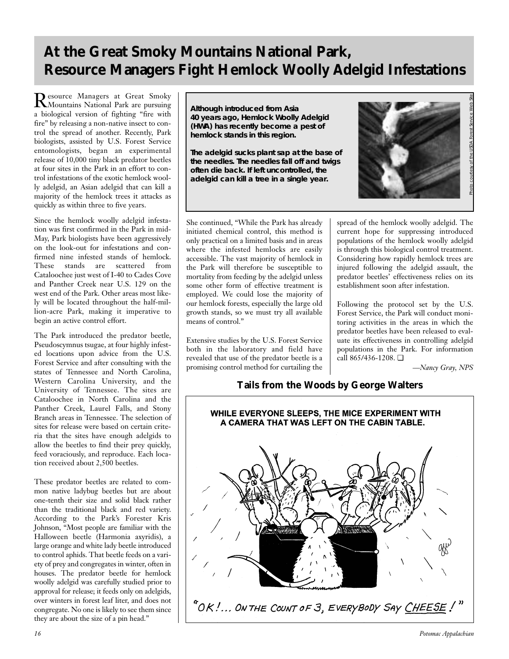# **At the Great Smoky Mountains National Park, Resource Managers Fight Hemlock Woolly Adelgid Infestations**

Resource Managers at Great Smoky Mountains National Park are pursuing a biological version of fighting "fire with fire" by releasing a non-native insect to control the spread of another. Recently, Park biologists, assisted by U.S. Forest Service entomologists, began an experimental release of 10,000 tiny black predator beetles at four sites in the Park in an effort to control infestations of the exotic hemlock woolly adelgid, an Asian adelgid that can kill a majority of the hemlock trees it attacks as quickly as within three to five years.

Since the hemlock woolly adelgid infestation was first confirmed in the Park in mid-May, Park biologists have been aggressively on the look-out for infestations and confirmed nine infested stands of hemlock. These stands are scattered from Cataloochee just west of I-40 to Cades Cove and Panther Creek near U.S. 129 on the west end of the Park. Other areas most likely will be located throughout the half-million-acre Park, making it imperative to begin an active control effort.

The Park introduced the predator beetle, Pseudoscymnus tsugae, at four highly infested locations upon advice from the U.S. Forest Service and after consulting with the states of Tennessee and North Carolina, Western Carolina University, and the University of Tennessee. The sites are Cataloochee in North Carolina and the Panther Creek, Laurel Falls, and Stony Branch areas in Tennessee. The selection of sites for release were based on certain criteria that the sites have enough adelgids to allow the beetles to find their prey quickly, feed voraciously, and reproduce. Each location received about 2,500 beetles.

These predator beetles are related to common native ladybug beetles but are about one-tenth their size and solid black rather than the traditional black and red variety. According to the Park's Forester Kris Johnson, "Most people are familiar with the Halloween beetle (Harmonia axyridis), a large orange and white lady beetle introduced to control aphids. That beetle feeds on a variety of prey and congregates in winter, often in houses. The predator beetle for hemlock woolly adelgid was carefully studied prior to approval for release; it feeds only on adelgids, over winters in forest leaf liter, and does not congregate. No one is likely to see them since they are about the size of a pin head."

**Although introduced from Asia 40 years ago, Hemlock Woolly Adelgid (HWA) has recently become a pest of hemlock stands in this region.** 

**The adelgid sucks plant sap at the base of the needles. The needles fall off and twigs often die back. If left uncontrolled, the adelgid can kill a tree in a single year.** 



Photo courtesy of the USDA Forest Service Web Site

She continued, "While the Park has already initiated chemical control, this method is only practical on a limited basis and in areas where the infested hemlocks are easily accessible. The vast majority of hemlock in the Park will therefore be susceptible to mortality from feeding by the adelgid unless some other form of effective treatment is employed. We could lose the majority of our hemlock forests, especially the large old growth stands, so we must try all available means of control."

Extensive studies by the U.S. Forest Service both in the laboratory and field have revealed that use of the predator beetle is a promising control method for curtailing the spread of the hemlock woolly adelgid. The current hope for suppressing introduced populations of the hemlock woolly adelgid is through this biological control treatment. Considering how rapidly hemlock trees are injured following the adelgid assault, the predator beetles' effectiveness relies on its establishment soon after infestation.

Following the protocol set by the U.S. Forest Service, the Park will conduct monitoring activities in the areas in which the predator beetles have been released to evaluate its effectiveness in controlling adelgid populations in the Park. For information call 865/436-1208. ❏

*—Nancy Gray, NPS*

## **Tails from the Woods by George Walters**

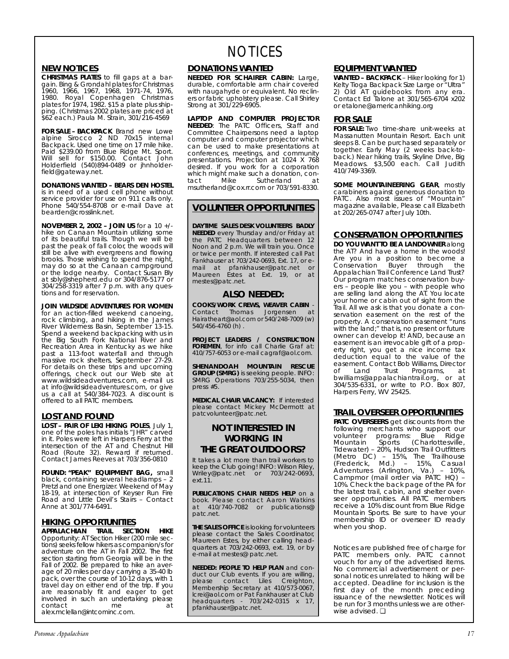## **NEW NOTICES**

**CHRISTMAS PLATES** to fill gaps at a bargain. Bing & Grondahl plates for Christmas 1960, 1966, 1967, 1968, 1971-74, 1976, 1980. Royal Copenhagen Christmas plates for 1974, 1982. \$15 a plate plus shipping. (Christmas 2002 plates are priced at \$62 each.) Paula M. Strain, 301/216-4569

**FOR SALE – BACKPACK** Brand new Lowe alpine Sirocco 2 ND 70x15 internal Backpack. Used one time on 17 mile hike. Paid \$239.00 from Blue Ridge Mt. Sport. Will sell for \$150.00. Contact John Holderfield (540)894-0489 or jhnholderfield@gateway.net.

**DONATIONS WANTED – BEARS DEN HOSTEL** is in need of a used cell phone without service provider for use on 911 calls only. Phone 540/554-8708 or e-mail Dave at bearden@crosslink.net.

**NOVEMBER 2, 2002 – JOIN US** for a 10 +/ hike on Canaan Mountain utilizing some of its beautiful trails. Though we will be past the peak of fall color, the woods will still be alive with evergreens and flowing brooks. Those wishing to spend the night, may do so at the Canaan campground or the lodge nearby. Contact Susan Bly at sbly@shepherd.edu or 304/876-5177 or 304/258-3319 after 7 p.m. with any questions and for reservation.

**JOIN WILDSIDE ADVENTURES FOR WOMEN** for an action-filled weekend canoeing, rock climbing, and hiking in the James River Wilderness Basin, September 13-15. Spend a weekend backpacking with us in the Big South Fork National River and Recreation Area in Kentucky as we hike past a 113-foot waterfall and through massive rock shelters, September 27-29. For details on these trips and upcoming offerings, check out our Web site at www.wildsideadventures.com, e-mail us at info@wildsideadventures.com, or give us a call at 540/384-7023. A discount is offered to all PATC members.

## **LOST AND FOUND**

**LOST – PAIR OF LEKI HIKING POLES**, July 1, one of the poles has initials "JHR" carved in it. Poles were left in Harpers Ferry at the intersection of the AT and Chestnut Hill Road (Route 32). Reward if returned. Contact James Reeves at 703/356-0810

**FOUND: "PEAK" EQUIPMENT BAG,** small black, containing several headlamps – 2 Pretzl and one Energizer. Weekend of May 18-19, at intersection of Keyser Run Fire Road and Little Devil's Stairs – Contact Anne at 301/774-6491.

## **HIKING OPPORTUNITIES**

**APPALACHIAN TRAIL SECTION HIKE** Opportunity: AT Section Hiker (200 mile sections) seeks fellow hikers as companion/s for adventure on the AT in Fall 2002. The first section starting from Georgia will be in the Fall of 2002. Be prepared to hike an average of 20 miles per day carrying a 35-40 lb pack, over the course of 10-12 days, with 1 travel day on either end of the trip. If you are reasonably fit and eager to get involved in such an undertaking please contact me at alex.mclellan@intcominc.com.

# **NOTICES**

## **DONATIONS WANTED**

**NEEDED FOR SCHAIRER CABIN:** Large, durable, comfortable arm chair covered with naugahyde or equivalent. No recliners or fabric upholstery please. Call Shirley Strong at 301/229-6905.

**LAPTOP AND COMPUTER PROJECTOR NEEDED**: The PATC Officers, Staff and Committee Chairpersons need a laptop computer and computer projector which can be used to make presentations at conferences, meetings, and community presentations. Projection at 1024 X 768 desired. If you work for a corporation which might make such a donation, con-<br>tact Mike Sutherland at tact Mike Sutherland at msutherland@cox.rr.com or 703/591-8330.

## **VOLUNTEER OPPORTUNITIES**

**DAYTIME SALES DESK VOLUNTEERS BADLY NEEDED** every Thursday and/or Friday at the PATC Headquarters between 12 Noon and 2 p.m. We will train you. Once or twice per month. If interested call Pat Fankhauser at 703/242-0693, Ext. 17, or email at pfankhauser@patc.net or Maureen Estes at Ext. 19, or at mestes@patc.net.

## **ALSO NEEDED:**

**COOKS/WORK CREWS, WEAVER CABIN** - Contact Thomas Jorgensen at Hairatheart@aol.com or 540/248-7009 (w) 540/456-4760 (h) .

**PROJECT LEADERS / CONSTRUCTION FOREMEN**, for info call Charlie Graf at: 410/757-6053 or e-mail cagraf@aol.com.

**SHENANDOAH MOUNTAIN RESCUE GROUP (SMRG)** is seeking people. INFO: SMRG Operations 703/255-5034, then press #5.

**MEDICAL CHAIR VACANCY:** If interested please contact Mickey McDermott at patcvolunteer@patc.net.

## **NOT INTERESTED IN WORKING IN THE GREAT OUTDOORS?**

It takes a lot more than trail workers to keep the Club going! INFO: Wilson Riley, Wriley@patc.net or 703/242-0693, ext.11.

**PUBLICATIONS CHAIR NEEDS HELP** on a book. Please contact Aaron Watkins at 410/740-7082 or publications@ patc.net.

**THE SALES OFFICE** is looking for volunteers please contact the Sales Coordinator, Maureen Estes, by either calling headquarters at 703/242-0693, ext. 19, or by e-mail at mestes@ patc.net.

**NEEDED: PEOPLE TO HELP PLAN** and conduct our Club events. If you are willing,<br>please contact Liles Creighton, contact Liles Creighton, Membership Secretary at 410/573-0067, lcrei@aol.com or Pat Fankhauser at Club headquarters - 703/242-0315 x 17, pfankhauser@patc.net.

## **EQUIPMENT WANTED**

**WANTED – BACKPACK** – Hiker looking for 1) Kelty Tioga Backpack Size Large or "Ultra" 2) Old AT guidebooks from any era. Contact Ed Talone at 301/565-6704 x202 or etalone@americanhiking.org

## **FOR SALE**

**FOR SALE:** Two time-share unit-weeks at Massanutten Mountain Resort. Each unit sleeps 8. Can be purchased separately or together. Early May (2 weeks back-toback.) Near hiking trails, Skyline Drive, Big Meadows. \$3,500 each. Call Judith 410/749-3369.

**SOME MOUNTAINEERING GEAR**, mostly carabiners against generous donation to PATC. Also most issues of "Mountain" magazine available, Please call Elizabeth at 202/265-0747 after July 10th.

## **CONSERVATION OPPORTUNITIES**

**DO YOU WANT TO BE A LANDOWNER** along the AT? And have a home in the woods! Are you in a position to become a Conservation Buyer through the Appalachian Trail Conference Land Trust? Our program matches conservation buyers – people like you – with people who are selling land along the AT. You locate your home or cabin out of sight from the Trail. All we ask is that you donate a conservation easement on the rest of the property. A conservation easement "runs with the land;" that is, no present or future owner can develop it! AND, because an easement is an irrevocable gift of a property right, you get a nice income tax deduction equal to the value of the easement. Contact Bob Williams, Director of Land Trust Programs, at bwilliams@appalachiantrail.org, or at 304/535-6331, or write to P.O. Box 807, Harpers Ferry, WV 25425.

## **TRAIL OVERSEER OPPORTUNITIES**

**PATC OVERSEERS** get discounts from the following merchants who support our<br>volunteer programs: Blue Ridge volunteer programs: Blue Ridge Mountain Sports (Charlottesville, Tidewater) – 20%, Hudson Trail Outfitters (Metro  $\overline{DC}$ ) – 15%, The Trailhouse (Frederick, Md.) – 15%, Casual Adventures (Arlington, Va.) – 10%, Campmor (mail order via PATC HQ) – 10%. Check the back page of the *PA* for the latest trail, cabin, and shelter overseer opportunities. All PATC members receive a 10% discount from Blue Ridge Mountain Sports. Be sure to have your membership ID or overseer ID ready when you shop.

*Notices are published free of charge for PATC members only. PATC cannot vouch for any of the advertised items. No commercial advertisement or personal notices unrelated to hiking will be accepted. Deadline for inclusion is the first day of the month preceding issuance of the newsletter. Notices will be run for 3 months unless we are otherwise advised.* ❏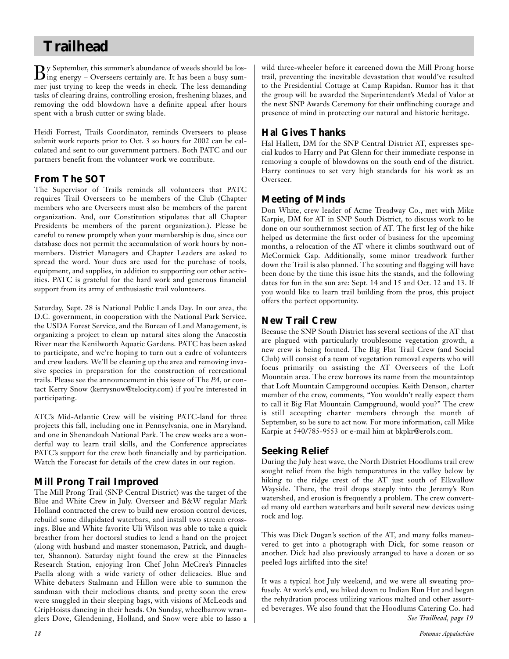# **Trailhead**

 $B$ y September, this summer's abundance of weeds should be los-<br>ing energy – Overseers certainly are. It has been a busy summer just trying to keep the weeds in check. The less demanding tasks of clearing drains, controlling erosion, freshening blazes, and removing the odd blowdown have a definite appeal after hours spent with a brush cutter or swing blade.

Heidi Forrest, Trails Coordinator, reminds Overseers to please submit work reports prior to Oct. 3 so hours for 2002 can be calculated and sent to our government partners. Both PATC and our partners benefit from the volunteer work we contribute.

## **From The SOT**

The Supervisor of Trails reminds all volunteers that PATC requires Trail Overseers to be members of the Club (Chapter members who are Overseers must also be members of the parent organization. And, our Constitution stipulates that all Chapter Presidents be members of the parent organization.). Please be careful to renew promptly when your membership is due, since our database does not permit the accumulation of work hours by nonmembers. District Managers and Chapter Leaders are asked to spread the word. Your dues are used for the purchase of tools, equipment, and supplies, in addition to supporting our other activities. PATC is grateful for the hard work and generous financial support from its army of enthusiastic trail volunteers.

Saturday, Sept. 28 is National Public Lands Day. In our area, the D.C. government, in cooperation with the National Park Service, the USDA Forest Service, and the Bureau of Land Management, is organizing a project to clean up natural sites along the Anacostia River near the Kenilworth Aquatic Gardens. PATC has been asked to participate, and we're hoping to turn out a cadre of volunteers and crew leaders. We'll be cleaning up the area and removing invasive species in preparation for the construction of recreational trails. Please see the announcement in this issue of The *PA*, or contact Kerry Snow (kerrysnow@telocity.com) if you're interested in participating.

ATC's Mid-Atlantic Crew will be visiting PATC-land for three projects this fall, including one in Pennsylvania, one in Maryland, and one in Shenandoah National Park. The crew weeks are a wonderful way to learn trail skills, and the Conference appreciates PATC's support for the crew both financially and by participation. Watch the Forecast for details of the crew dates in our region.

# **Mill Prong Trail Improved**

The Mill Prong Trail (SNP Central District) was the target of the Blue and White Crew in July. Overseer and B&W regular Mark Holland contracted the crew to build new erosion control devices, rebuild some dilapidated waterbars, and install two stream crossings. Blue and White favorite Uli Wilson was able to take a quick breather from her doctoral studies to lend a hand on the project (along with husband and master stonemason, Patrick, and daughter, Shannon). Saturday night found the crew at the Pinnacles Research Station, enjoying Iron Chef John McCrea's Pinnacles Paella along with a wide variety of other delicacies. Blue and White debaters Stalmann and Hillon were able to summon the sandman with their melodious chants, and pretty soon the crew were snuggled in their sleeping bags, with visions of McLeods and GripHoists dancing in their heads. On Sunday, wheelbarrow wranglers Dove, Glendening, Holland, and Snow were able to lasso a

wild three-wheeler before it careened down the Mill Prong horse trail, preventing the inevitable devastation that would've resulted to the Presidential Cottage at Camp Rapidan. Rumor has it that the group will be awarded the Superintendent's Medal of Valor at the next SNP Awards Ceremony for their unflinching courage and presence of mind in protecting our natural and historic heritage.

# **Hal Gives Thanks**

Hal Hallett, DM for the SNP Central District AT, expresses special kudos to Harry and Pat Glenn for their immediate response in removing a couple of blowdowns on the south end of the district. Harry continues to set very high standards for his work as an Overseer.

## **Meeting of Minds**

Don White, crew leader of Acme Treadway Co., met with Mike Karpie, DM for AT in SNP South District, to discuss work to be done on our southernmost section of AT. The first leg of the hike helped us determine the first order of business for the upcoming months, a relocation of the AT where it climbs southward out of McCormick Gap. Additionally, some minor treadwork further down the Trail is also planned. The scouting and flagging will have been done by the time this issue hits the stands, and the following dates for fun in the sun are: Sept. 14 and 15 and Oct. 12 and 13. If you would like to learn trail building from the pros, this project offers the perfect opportunity.

## **New Trail Crew**

Because the SNP South District has several sections of the AT that are plagued with particularly troublesome vegetation growth, a new crew is being formed. The Big Flat Trail Crew (and Social Club) will consist of a team of vegetation removal experts who will focus primarily on assisting the AT Overseers of the Loft Mountain area. The crew borrows its name from the mountaintop that Loft Mountain Campground occupies. Keith Denson, charter member of the crew, comments, "You wouldn't really expect them to call it Big Flat Mountain Campground, would you?" The crew is still accepting charter members through the month of September, so be sure to act now. For more information, call Mike Karpie at 540/785-9553 or e-mail him at bkpkr@erols.com.

## **Seeking Relief**

During the July heat wave, the North District Hoodlums trail crew sought relief from the high temperatures in the valley below by hiking to the ridge crest of the AT just south of Elkwallow Wayside. There, the trail drops steeply into the Jeremy's Run watershed, and erosion is frequently a problem. The crew converted many old earthen waterbars and built several new devices using rock and log.

This was Dick Dugan's section of the AT, and many folks maneuvered to get into a photograph with Dick, for some reason or another. Dick had also previously arranged to have a dozen or so peeled logs airlifted into the site!

It was a typical hot July weekend, and we were all sweating profusely. At work's end, we hiked down to Indian Run Hut and began the rehydration process utilizing various malted and other assorted beverages. We also found that the Hoodlums Catering Co. had *See Trailhead, page 19*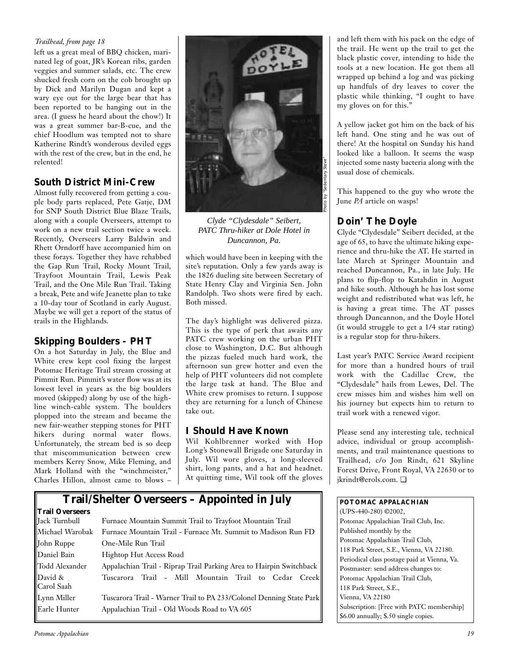## *Trailhead, from page 18*

left us a great meal of BBQ chicken, marinated leg of goat, JR's Korean ribs, garden veggies and summer salads, etc. The crew shucked fresh corn on the cob brought up by Dick and Marilyn Dugan and kept a wary eye out for the large bear that has been reported to be hanging out in the area. (I guess he heard about the chow!) It was a great summer bar-B-cue, and the chief Hoodlum was tempted not to share Katherine Rindt's wonderous deviled eggs with the rest of the crew, but in the end, he relented!

## **South District Mini-Crew**

Almost fully recovered from getting a couple body parts replaced, Pete Gatje, DM for SNP South District Blue Blaze Trails, along with a couple Overseers, attempt to work on a new trail section twice a week. Recently, Overseers Larry Baldwin and Rhett Orndorff have accompanied him on these forays. Together they have rehabbed the Gap Run Trail, Rocky Mount Trail, Trayfoot Mountain Trail, Lewis Peak Trail, and the One Mile Run Trail. Taking a break, Pete and wife Jeanette plan to take a 10-day tour of Scotland in early August. Maybe we will get a report of the status of trails in the Highlands.

## **Skipping Boulders - PHT**

On a hot Saturday in July, the Blue and White crew kept cool fixing the largest Potomac Heritage Trail stream crossing at Pimmit Run. Pimmit's water flow was at its lowest level in years as the big boulders moved (skipped) along by use of the highline winch-cable system. The boulders plopped into the stream and became the new fair-weather stepping stones for PHT hikers during normal water flows. Unfortunately, the stream bed is so deep that miscommunication between crew members Kerry Snow, Mike Fleming, and Mark Holland with the "winchmeister," Charles Hillon, almost came to blows –



*Clyde "Clydesdale" Seibert, PATC Thru-hiker at Dole Hotel in Duncannon, Pa.*

which would have been in keeping with the site's reputation. Only a few yards away is the 1826 dueling site between Secretary of State Henry Clay and Virginia Sen. John Randolph. Two shots were fired by each. Both missed.

The day's highlight was delivered pizza. This is the type of perk that awaits any PATC crew working on the urban PHT close to Washington, D.C. But although the pizzas fueled much hard work, the afternoon sun grew hotter and even the help of PHT volunteers did not complete the large task at hand. The Blue and White crew promises to return. I suppose they are returning for a lunch of Chinese take out.

## **I Should Have Known**

Wil Kohlbrenner worked with Hop Long's Stonewall Brigade one Saturday in July. Wil wore gloves, a long-sleeved shirt, long pants, and a hat and headnet. At quitting time, Wil took off the gloves

# **Trail/Shelter Overseers – Appointed in July**

## **Trail Overseers** Furnace Mountain Summit Trail to Trayfoot Mountain Trail Michael Warobak Furnace Mountain Trail - Furnace Mt. Summit to Madison Run FD John Ruppe One-Mile Run Trail Daniel Bain Hightop Hut Access Road Todd Alexander Appalachian Trail - Riprap Trail Parking Area to Hairpin Switchback David & Tuscarora Trail - Mill Mountain Trail to Cedar Creek Carol Saah Lynn Miller Tuscarora Trail - Warner Trail to PA 233/Colonel Denning State Park Earle Hunter Appalachian Trail - Old Woods Road to VA 605

and left them with his pack on the edge of the trail. He went up the trail to get the black plastic cover, intending to hide the tools at a new location. He got them all wrapped up behind a log and was picking up handfuls of dry leaves to cover the plastic while thinking, "I ought to have my gloves on for this."

A yellow jacket got him on the back of his left hand. One sting and he was out of there! At the hospital on Sunday his hand looked like a balloon. It seems the wasp injected some nasty bacteria along with the usual dose of chemicals.

This happened to the guy who wrote the June *PA* article on wasps!

## **Doin' The Doyle**

Clyde "Clydesdale" Seibert decided, at the age of 65, to have the ultimate hiking experience and thru-hike the AT. He started in late March at Springer Mountain and reached Duncannon, Pa., in late July. He plans to flip-flop to Katahdin in August and hike south. Although he has lost some weight and redistributed what was left, he is having a great time. The AT passes through Duncannon, and the Doyle Hotel (it would struggle to get a 1/4 star rating) is a regular stop for thru-hikers.

Last year's PATC Service Award recipient for more than a hundred hours of trail work with the Cadillac Crew, the "Clydesdale" hails from Lewes, Del. The crew misses him and wishes him well on his journey but expects him to return to trail work with a renewed vigor.

Please send any interesting tale, technical advice, individual or group accomplishments, and trail maintenance questions to Trailhead, c/o Jon Rindt, 621 Skyline Forest Drive, Front Royal, VA 22630 or to jkrindt@erols.com. ❏

## **POTOMAC APPALACHIAN**

(UPS-440-280) ©2002, Potomac Appalachian Trail Club, Inc. Published monthly by the Potomac Appalachian Trail Club, 118 Park Street, S.E., Vienna, VA 22180. Periodical class postage paid at Vienna, Va. Postmaster: send address changes to: Potomac Appalachian Trail Club, 118 Park Street, S.E., Vienna, VA 22180 Subscription: [Free with PATC membership] \$6.00 annually; \$.50 single copies.

## *Potomac Appalachian 19*